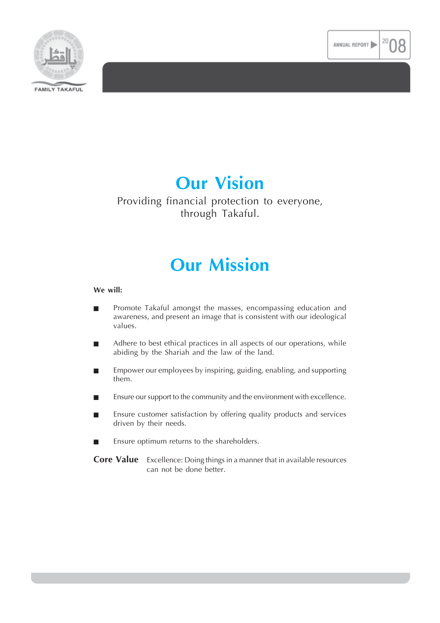



# **Our Vision**

### Providing financial protection to everyone, through Takaful.

## **Our Mission**

### **We will:**

- Promote Takaful amongst the masses, encompassing education and awareness, and present an image that is consistent with our ideological values.
- Adhere to best ethical practices in all aspects of our operations, while abiding by the Shariah and the law of the land.
- $\blacksquare$  Empower our employees by inspiring, guiding, enabling, and supporting them.
- Ensure our support to the community and the environment with excellence.
- **Ensure customer satisfaction by offering quality products and services** driven by their needs.
- Ensure optimum returns to the shareholders.
- **Core Value** Excellence: Doing things in a manner that in available resources can not be done better.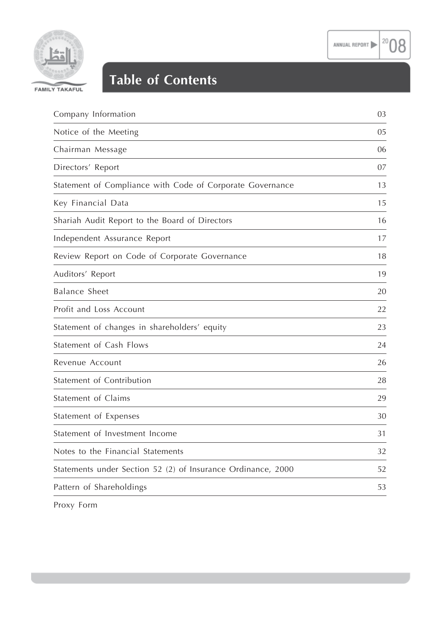$20\,$ 

08



## **Table of Contents**

| Company Information                                          | 03 |
|--------------------------------------------------------------|----|
| Notice of the Meeting                                        | 05 |
| Chairman Message                                             | 06 |
| Directors' Report                                            | 07 |
| Statement of Compliance with Code of Corporate Governance    | 13 |
| Key Financial Data                                           | 15 |
| Shariah Audit Report to the Board of Directors               | 16 |
| Independent Assurance Report                                 | 17 |
| Review Report on Code of Corporate Governance                | 18 |
| Auditors' Report                                             | 19 |
| <b>Balance Sheet</b>                                         | 20 |
| Profit and Loss Account                                      | 22 |
| Statement of changes in shareholders' equity                 | 23 |
| Statement of Cash Flows                                      | 24 |
| Revenue Account                                              | 26 |
| Statement of Contribution                                    | 28 |
| Statement of Claims                                          | 29 |
| Statement of Expenses                                        | 30 |
| Statement of Investment Income                               | 31 |
| Notes to the Financial Statements                            | 32 |
| Statements under Section 52 (2) of Insurance Ordinance, 2000 | 52 |
| Pattern of Shareholdings                                     | 53 |
|                                                              |    |

Proxy Form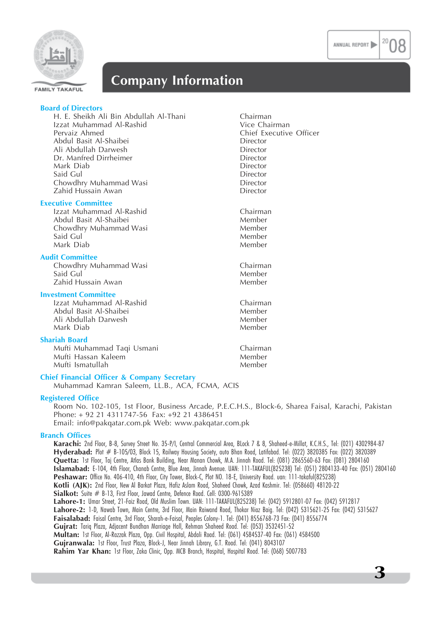**3**



### **Company Information**

| <b>Board of Directors</b>                              |                         |
|--------------------------------------------------------|-------------------------|
| H. E. Sheikh Ali Bin Abdullah Al-Thani                 | Chairman                |
| Izzat Muhammad Al-Rashid                               | Vice Chairman           |
| Pervaiz Ahmed                                          | Chief Executive Officer |
| Abdul Basit Al-Shaibei                                 | Director                |
| Ali Abdullah Darwesh                                   | Director                |
| Dr. Manfred Dirrheimer                                 | Director                |
| Mark Diab                                              | Director                |
| Said Gul                                               | Director                |
| Chowdhry Muhammad Wasi                                 | Director                |
| Zahid Hussain Awan                                     | Director                |
| <b>Executive Committee</b>                             |                         |
| Izzat Muhammad Al-Rashid                               | Chairman                |
| Abdul Basit Al-Shaibei                                 | Member                  |
| Chowdhry Muhammad Wasi                                 | Member                  |
| Said Gul                                               | Member                  |
| Mark Diab                                              | Member                  |
| <b>Audit Committee</b>                                 |                         |
| Chowdhry Muhammad Wasi                                 | Chairman                |
| Said Gul                                               | Member                  |
| Zahid Hussain Awan                                     | Member                  |
| <b>Investment Committee</b>                            |                         |
| Izzat Muhammad Al-Rashid                               | Chairman                |
| Abdul Basit Al-Shaibei                                 | Member                  |
| Ali Abdullah Darwesh                                   | Member                  |
| Mark Diab                                              | Member                  |
|                                                        |                         |
| <b>Shariah Board</b>                                   |                         |
| Mufti Muhammad Taqi Usmani<br>Mufti Hassan Kaleem      | Chairman<br>Member      |
|                                                        |                         |
| Mufti Ismatullah                                       | Member                  |
| <b>Chief Financial Officer &amp; Company Secretary</b> |                         |

Muhammad Kamran Saleem, LL.B., ACA, FCMA, ACIS

### **Registered Office**

Room No. 102-105, 1st Floor, Business Arcade, P.E.C.H.S., Block-6, Sharea Faisal, Karachi, Pakistan Phone: + 92 21 4311747-56 Fax: +92 21 4386451 Email: info@pakqatar.com.pk Web: www.pakqatar.com.pk

### **Branch Offices**

**Karachi:** 2nd Floor, B-8, Survey Street No. 35-P/I, Central Commercial Area, BLock 7 & 8, Shaheed-e-Millat, K.C.H.S., Tel: (021) 4302984-87 Hyderabad: Plot # B-105/03, Block 15, Railway Housing Society, auto Bhan Road, Latifabad. Tel: (022) 3820385 Fax: (022) 3820389 **Quetta:** 1st Floor, Taj Centre, Atlas Bank Building, Near Manan Chowk, M.A. Jinnah Road. Tel: (081) 2865560-63 Fax: (081) 2804160 **Islamabad:** E-104, 4th Floor, Chanab Centre, Blue Area, Jinnah Avenue. UAN: 111-TAKAFUL(825238) Tel: (051) 2804133-40 Fax: (051) 2804160 Peshawar: Office No. 406-410, 4th Floor, City Tower, Block-C, Plot NO. 18-E, University Road. uan: 111-takaful(825238) **Kotli (AJK):** 2nd Floor, New Al Barkat Plaza, Hafiz Aslam Road, Shaheed Chowk, Azad Kashmir. Tel: (058660) 48120-22 Sialkot: Suite # B-13, First Floor, Jawad Centre, Defence Road. Cell: 0300-9615389 **Lahore-1:** Umar Street, 21-Faiz Road, Old Muslim Town. UAN: 111-TAKAFUL(825238) Tel: (042) 5912801-07 Fax: (042) 5912817 **Lahore-2:** 1-D, Nawab Town, Main Centre, 3rd Floor, Main Raiwand Road, Thokar Niaz Baig. Tel: (042) 5315621-25 Fax: (042) 5315627 **Faisalabad:** Faisal Centre, 3rd Floor, Sharah-e-Faisal, Peoples Colony-1. Tel: (041) 8556768-73 Fax: (041) 8556774 **Gujrat:** Tariq Plaza, Adjacent Bundhan Marriage Hall, Rehman Shaheed Road. Tel: (053) 3532451-52 **Multan:** 1st Floor, Al-Razzak Plaza, Opp. Civil Hospital, Abdali Road. Tel: (061) 4584537-40 Fax: (061) 4584500 **Gujranwala:** 1st Floor, Trust Plaza, Block-J, Near Jinnah Library, G.T. Road. Tel: (041) 8043107 **Rahim Yar Khan:** 1st Floor, Zaka Clinic, Opp. MCB Branch, Hospital, Hospital Road. Tel: (068) 5007783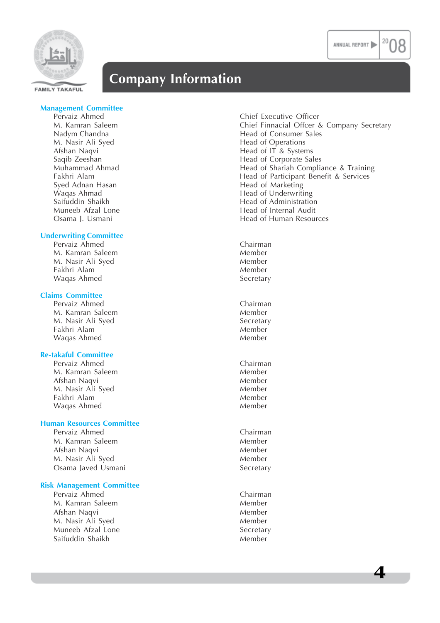

### **Company Information**

### **Management Committee**

M. Nasir Ali Syed Head of Operations Syed Adnan Hasan **Hasan** Head of Marketing

#### **Underwriting Committee**

Pervaiz Ahmed Chairman M. Kamran Saleem Member M. Nasir Ali Syed Member Fakhri Alam Member Waqas Ahmed

### **Claims Committee**

Pervaiz Ahmed Chairman M. Kamran Saleem Member<br>M. Nasir Ali Sved Secretary M. Nasir Ali Syed Fakhri Alam Member Waqas Ahmed Member

### **Re-takaful Committee**

Pervaiz Ahmed Chairman M. Kamran Saleem **Member**<br>Afshan Naqvi Member Afshan Naqvi M. Nasir Ali Syed Member Fakhri Alam Member<br>Waqas Ahmed Member Member Waqas Ahmed

### **Human Resources Committee**

Pervaiz Ahmed Chairman M. Kamran Saleem Member Afshan Naqvi **Member** Member M. Nasir Ali Syed Member Osama Javed Usmani **Secretary** Secretary

### **Risk Management Committee**

Pervaiz Ahmed Chairman M. Kamran Saleem Member Afshan Naqvi **Member** Member M. Nasir Ali Syed Member Muneeb Afzal Lone Secretary Saifuddin Shaikh Member

Pervaiz Ahmed **Pervaiz Ahmed** Chief Executive Officer M. Kamran Saleem Chief Executive Officer 8 M. Kamran Saleem Chief Finnacial Offcer & Company Secretary Head of Consumer Sales Afshan Naqvi **Head of IT & Systems** Saqib Zeeshan **Head of Corporate Sales** Head of Corporate Sales Muhammad Ahmad **Head of Shariah Compliance & Training**<br>Fakhri Alam **Head of Participant Benefit & Services** Head of Participant Benefit & Services Waqas Ahmad Head of Underwriting Head of Administration Muneeb Afzal Lone **Head of Internal Audit** Osama J. Usmani **Head of Human Resources Head of Human Resources**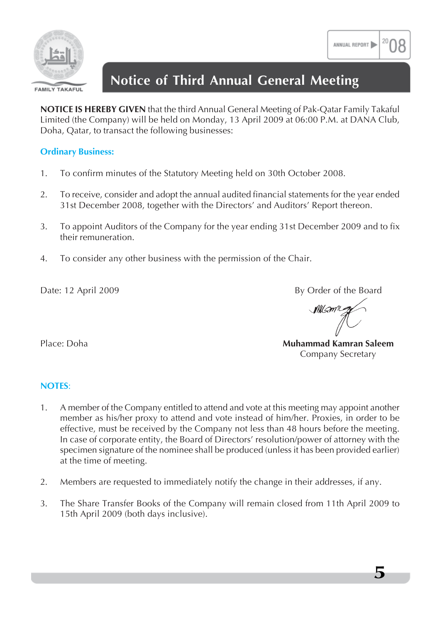

#### **FAMILY TAKAFUL**

## **Notice of Third Annual General Meeting**

**NOTICE IS HEREBY GIVEN** that the third Annual General Meeting of Pak-Qatar Family Takaful Limited (the Company) will be held on Monday, 13 April 2009 at 06:00 P.M. at DANA Club, Doha, Qatar, to transact the following businesses:

### **Ordinary Business:**

- 1. To confirm minutes of the Statutory Meeting held on 30th October 2008.
- 2. To receive, consider and adopt the annual audited financial statements for the year ended 31st December 2008, together with the Directors' and Auditors' Report thereon.
- 3. To appoint Auditors of the Company for the year ending 31st December 2009 and to fix their remuneration.
- 4. To consider any other business with the permission of the Chair.

Date: 12 April 2009 By Order of the Board

Millson 2

Place: Doha **Muhammad Kamran Saleem** Company Secretary

### **NOTES**:

- 1. A member of the Company entitled to attend and vote at this meeting may appoint another member as his/her proxy to attend and vote instead of him/her. Proxies, in order to be effective, must be received by the Company not less than 48 hours before the meeting. In case of corporate entity, the Board of Directors' resolution/power of attorney with the specimen signature of the nominee shall be produced (unless it has been provided earlier) at the time of meeting.
- 2. Members are requested to immediately notify the change in their addresses, if any.
- 3. The Share Transfer Books of the Company will remain closed from 11th April 2009 to 15th April 2009 (both days inclusive).

ANNUAL REPORT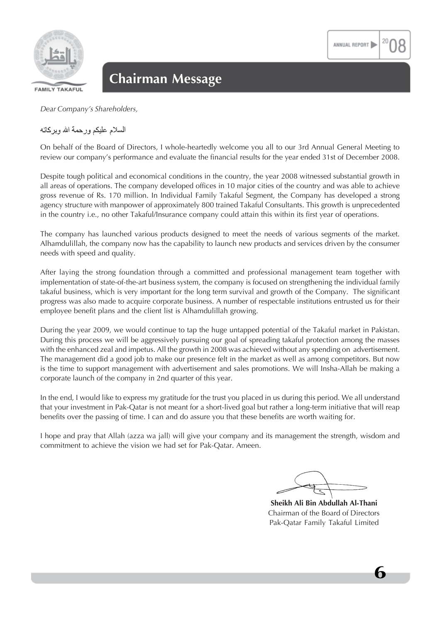

**FAMILY TAKAFUL** 

*Dear Company's Shareholders,*

### السلام عليكم ورحمة الله ويركاته

On behalf of the Board of Directors, I whole-heartedly welcome you all to our 3rd Annual General Meeting to review our company's performance and evaluate the financial results for the year ended 31st of December 2008.

Despite tough political and economical conditions in the country, the year 2008 witnessed substantial growth in all areas of operations. The company developed offices in 10 major cities of the country and was able to achieve gross revenue of Rs. 170 million. In Individual Family Takaful Segment, the Company has developed a strong agency structure with manpower of approximately 800 trained Takaful Consultants. This growth is unprecedented in the country i.e., no other Takaful/Insurance company could attain this within its first year of operations.

The company has launched various products designed to meet the needs of various segments of the market. Alhamdulillah, the company now has the capability to launch new products and services driven by the consumer needs with speed and quality.

After laying the strong foundation through a committed and professional management team together with implementation of state-of-the-art business system, the company is focused on strengthening the individual family takaful business, which is very important for the long term survival and growth of the Company. The significant progress was also made to acquire corporate business. A number of respectable institutions entrusted us for their employee benefit plans and the client list is Alhamdulillah growing.

During the year 2009, we would continue to tap the huge untapped potential of the Takaful market in Pakistan. During this process we will be aggressively pursuing our goal of spreading takaful protection among the masses with the enhanced zeal and impetus. All the growth in 2008 was achieved without any spending on advertisement. The management did a good job to make our presence felt in the market as well as among competitors. But now is the time to support management with advertisement and sales promotions. We will Insha-Allah be making a corporate launch of the company in 2nd quarter of this year.

In the end, I would like to express my gratitude for the trust you placed in us during this period. We all understand that your investment in Pak-Qatar is not meant for a short-lived goal but rather a long-term initiative that will reap benefits over the passing of time. I can and do assure you that these benefits are worth waiting for.

I hope and pray that Allah (azza wa jall) will give your company and its management the strength, wisdom and commitment to achieve the vision we had set for Pak-Qatar. Ameen.

ANNUAL REPORT

**Sheikh Ali Bin Abdullah Al-Thani** Chairman of the Board of Directors Pak-Qatar Family Takaful Limited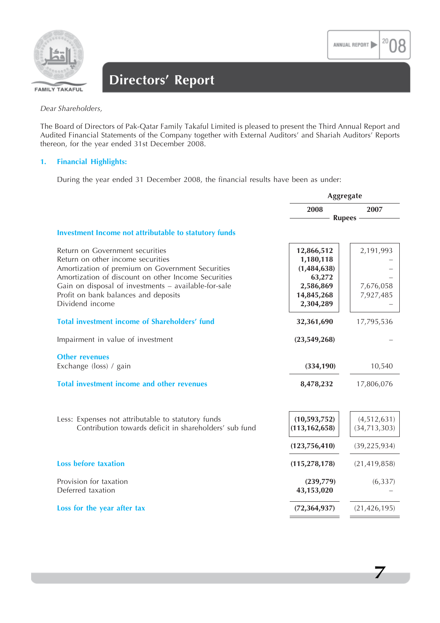**7**



## **Directors' Report**

*Dear Shareholders,*

The Board of Directors of Pak-Qatar Family Takaful Limited is pleased to present the Third Annual Report and Audited Financial Statements of the Company together with External Auditors' and Shariah Auditors' Reports thereon, for the year ended 31st December 2008.

### **1. Financial Highlights:**

During the year ended 31 December 2008, the financial results have been as under:

| Aggregate                              |                               |  |
|----------------------------------------|-------------------------------|--|
| 2008                                   | 2007                          |  |
| <b>Rupees</b>                          |                               |  |
|                                        |                               |  |
| 12,866,512<br>1,180,118<br>(1,484,638) | 2,191,993                     |  |
| 2,586,869<br>14,845,268<br>2,304,289   | 7,676,058<br>7,927,485        |  |
| 32,361,690                             | 17,795,536                    |  |
| (23,549,268)                           |                               |  |
| (334, 190)                             | 10,540                        |  |
| 8,478,232                              | 17,806,076                    |  |
| (10,593,752)<br>(113, 162, 658)        | (4,512,631)<br>(34, 713, 303) |  |
| (123, 756, 410)                        | (39, 225, 934)                |  |
| (115, 278, 178)                        | (21, 419, 858)                |  |
| (239,779)<br>43,153,020                | (6, 337)                      |  |
| (72, 364, 937)                         | (21, 426, 195)                |  |
|                                        | 63,272                        |  |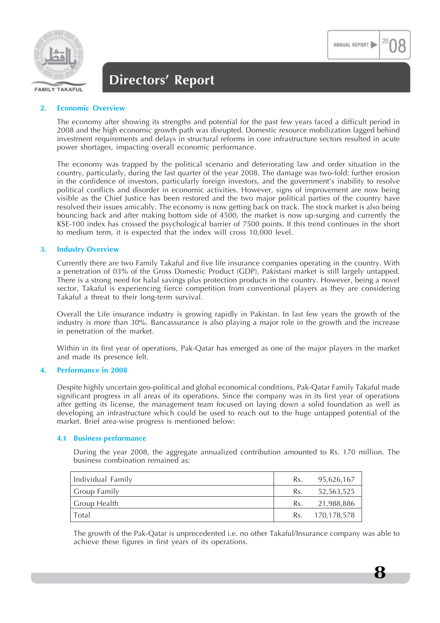

**8**

### **Directors' Report**

### **2. Economic Overview**

The economy after showing its strengths and potential for the past few years faced a difficult period in 2008 and the high economic growth path was disrupted. Domestic resource mobilization lagged behind investment requirements and delays in structural reforms in core infrastructure sectors resulted in acute power shortages, impacting overall economic performance.

The economy was trapped by the political scenario and deteriorating law and order situation in the country, particularly, during the last quarter of the year 2008. The damage was two-fold: further erosion in the confidence of investors, particularly foreign investors, and the government's inability to resolve political conflicts and disorder in economic activities. However, signs of improvement are now being visible as the Chief Justice has been restored and the two major political parties of the country have resolved their issues amicably. The economy is now getting back on track. The stock market is also being bouncing back and after making bottom side of 4500, the market is now up-surging and currently the KSE-100 index has crossed the psychological barrier of 7500 points. If this trend continues in the short to medium term, it is expected that the index will cross 10,000 level.

### **3. Industry Overview**

Currently there are two Family Takaful and five life insurance companies operating in the country. With a penetration of 03% of the Gross Domestic Product (GDP), Pakistani market is still largely untapped. There is a strong need for halal savings plus protection products in the country. However, being a novel sector, Takaful is experiencing fierce competition from conventional players as they are considering Takaful a threat to their long-term survival.

Overall the Life insurance industry is growing rapidly in Pakistan. In last few years the growth of the industry is more than 30%. Bancassurance is also playing a major role in the growth and the increase in penetration of the market.

Within in its first year of operations, Pak-Qatar has emerged as one of the major players in the market and made its presence felt.

### **4. Performance in 2008**

Despite highly uncertain geo-political and global economical conditions, Pak-Qatar Family Takaful made significant progress in all areas of its operations. Since the company was in its first year of operations after getting its license, the management team focused on laying down a solid foundation as well as developing an infrastructure which could be used to reach out to the huge untapped potential of the market. Brief area-wise progress is mentioned below:

### **4.1 Business performance**

During the year 2008, the aggregate annualized contribution amounted to Rs. 170 million. The business combination remained as:

| Individual Family | Rs. | 95,626,167  |
|-------------------|-----|-------------|
| Group Family      | Rs. | 52,563,525  |
| Group Health      | Rs. | 21,988,886  |
| Total             | Rs. | 170,178,578 |

The growth of the Pak-Qatar is unprecedented i.e. no other Takaful/Insurance company was able to achieve these figures in first years of its operations.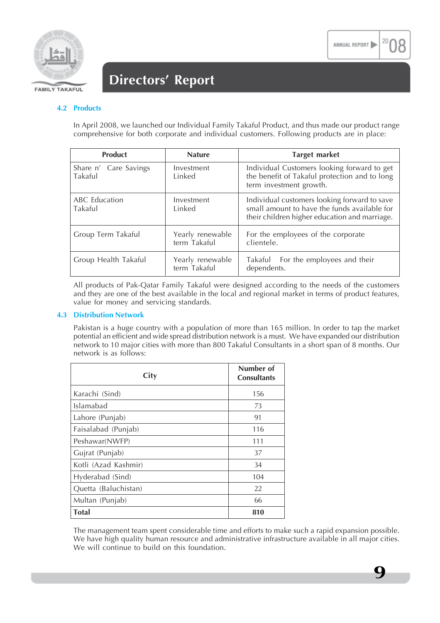

### **Directors' Report**

### **4.2 Products**

In April 2008, we launched our Individual Family Takaful Product, and thus made our product range comprehensive for both corporate and individual customers. Following products are in place:

| <b>Product</b>                   | <b>Nature</b>                    | <b>Target market</b>                                                                                                                          |
|----------------------------------|----------------------------------|-----------------------------------------------------------------------------------------------------------------------------------------------|
| Share n' Care Savings<br>Takaful | Investment<br>Linked             | Individual Customers looking forward to get<br>the benefit of Takaful protection and to long<br>term investment growth.                       |
| <b>ABC</b> Education<br>Takaful  | Investment<br>Linked             | Individual customers looking forward to save<br>small amount to have the funds available for<br>their children higher education and marriage. |
| Group Term Takaful               | Yearly renewable<br>term Takaful | For the employees of the corporate<br>clientele.                                                                                              |
| Group Health Takaful             | Yearly renewable<br>term Takaful | Takaful For the employees and their<br>dependents.                                                                                            |

All products of Pak-Qatar Family Takaful were designed according to the needs of the customers and they are one of the best available in the local and regional market in terms of product features, value for money and servicing standards.

### **4.3 Distribution Network**

Pakistan is a huge country with a population of more than 165 million. In order to tap the market potential an efficient and wide spread distribution network is a must. We have expanded our distribution network to 10 major cities with more than 800 Takaful Consultants in a short span of 8 months. Our network is as follows:

| City                 | Number of<br><b>Consultants</b> |
|----------------------|---------------------------------|
| Karachi (Sind)       | 156                             |
| Islamabad            | 73                              |
| Lahore (Punjab)      | 91                              |
| Faisalabad (Punjab)  | 116                             |
| Peshawar(NWFP)       | 111                             |
| Gujrat (Punjab)      | 37                              |
| Kotli (Azad Kashmir) | 34                              |
| Hyderabad (Sind)     | 104                             |
| Quetta (Baluchistan) | 22                              |
| Multan (Punjab)      | 66                              |
| <b>Total</b>         | 810                             |

The management team spent considerable time and efforts to make such a rapid expansion possible. We have high quality human resource and administrative infrastructure available in all major cities. We will continue to build on this foundation.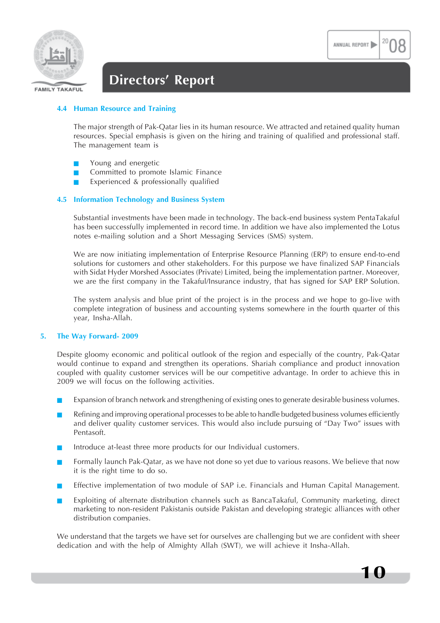**10**



### **Directors' Report**

### **4.4 Human Resource and Training**

The major strength of Pak-Qatar lies in its human resource. We attracted and retained quality human resources. Special emphasis is given on the hiring and training of qualified and professional staff. The management team is

- Young and energetic
- Committed to promote Islamic Finance
- Experienced & professionally qualified

### **4.5 Information Technology and Business System**

Substantial investments have been made in technology. The back-end business system PentaTakaful has been successfully implemented in record time. In addition we have also implemented the Lotus notes e-mailing solution and a Short Messaging Services (SMS) system.

We are now initiating implementation of Enterprise Resource Planning (ERP) to ensure end-to-end solutions for customers and other stakeholders. For this purpose we have finalized SAP Financials with Sidat Hyder Morshed Associates (Private) Limited, being the implementation partner. Moreover, we are the first company in the Takaful/Insurance industry, that has signed for SAP ERP Solution.

The system analysis and blue print of the project is in the process and we hope to go-live with complete integration of business and accounting systems somewhere in the fourth quarter of this year, Insha-Allah.

### **5. The Way Forward- 2009**

Despite gloomy economic and political outlook of the region and especially of the country, Pak-Qatar would continue to expand and strengthen its operations. Shariah compliance and product innovation coupled with quality customer services will be our competitive advantage. In order to achieve this in 2009 we will focus on the following activities.

- Expansion of branch network and strengthening of existing ones to generate desirable business volumes.
- Refining and improving operational processes to be able to handle budgeted business volumes efficiently and deliver quality customer services. This would also include pursuing of "Day Two" issues with Pentasoft.
- Introduce at-least three more products for our Individual customers.
- Formally launch Pak-Qatar, as we have not done so yet due to various reasons. We believe that now it is the right time to do so.
- Effective implementation of two module of SAP i.e. Financials and Human Capital Management.
- Exploiting of alternate distribution channels such as BancaTakaful, Community marketing, direct marketing to non-resident Pakistanis outside Pakistan and developing strategic alliances with other distribution companies.

We understand that the targets we have set for ourselves are challenging but we are confident with sheer dedication and with the help of Almighty Allah (SWT), we will achieve it Insha-Allah.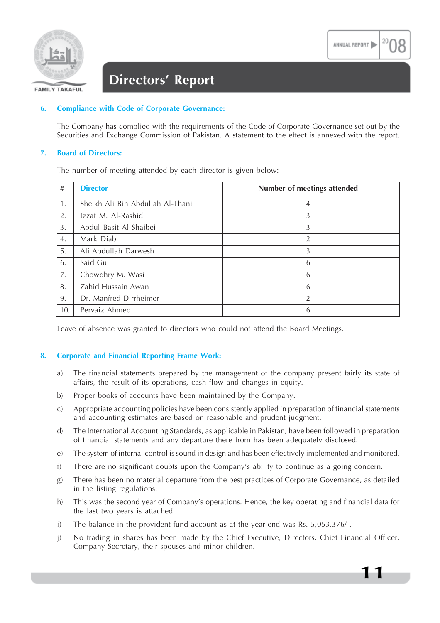

### **Directors' Report**

### **6. Compliance with Code of Corporate Governance:**

The Company has complied with the requirements of the Code of Corporate Governance set out by the Securities and Exchange Commission of Pakistan. A statement to the effect is annexed with the report.

### **7. Board of Directors:**

The number of meeting attended by each director is given below:

| #   | <b>Director</b>                  | Number of meetings attended |
|-----|----------------------------------|-----------------------------|
| 1.  | Sheikh Ali Bin Abdullah Al-Thani | $\overline{4}$              |
| 2.  | Izzat M. Al-Rashid               | 3                           |
| 3.  | Abdul Basit Al-Shaibei           | 3                           |
| 4.  | Mark Diab                        | 2                           |
| 5.  | Ali Abdullah Darwesh             | 3                           |
| 6.  | Said Gul                         | 6                           |
| 7.  | Chowdhry M. Wasi                 | 6                           |
| 8.  | Zahid Hussain Awan               | 6                           |
| 9.  | Dr. Manfred Dirrheimer           | $\overline{2}$              |
| 10. | Pervaiz Ahmed                    | 6                           |

Leave of absence was granted to directors who could not attend the Board Meetings.

### **8. Corporate and Financial Reporting Frame Work:**

- a) The financial statements prepared by the management of the company present fairly its state of affairs, the result of its operations, cash flow and changes in equity.
- b) Proper books of accounts have been maintained by the Company.
- c) Appropriate accounting policies have been consistently applied in preparation of financia**l** statements and accounting estimates are based on reasonable and prudent judgment.
- d) The International Accounting Standards, as applicable in Pakistan, have been followed in preparation of financial statements and any departure there from has been adequately disclosed.
- e) The system of internal control is sound in design and has been effectively implemented and monitored.
- f) There are no significant doubts upon the Company's ability to continue as a going concern.
- g) There has been no material departure from the best practices of Corporate Governance, as detailed in the listing regulations.
- h) This was the second year of Company's operations. Hence, the key operating and financial data for the last two years is attached.
- i) The balance in the provident fund account as at the year-end was Rs. 5,053,376/-.
- j) No trading in shares has been made by the Chief Executive, Directors, Chief Financial Officer, Company Secretary, their spouses and minor children.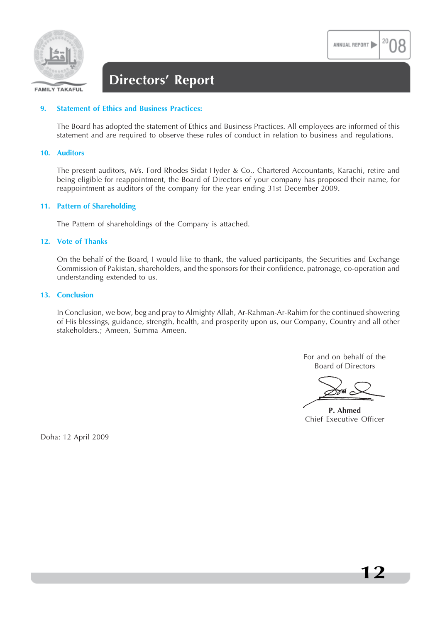

### **Directors' Report**

### **9. Statement of Ethics and Business Practices:**

The Board has adopted the statement of Ethics and Business Practices. All employees are informed of this statement and are required to observe these rules of conduct in relation to business and regulations.

### **10. Auditors**

The present auditors, M/s. Ford Rhodes Sidat Hyder & Co., Chartered Accountants, Karachi, retire and being eligible for reappointment, the Board of Directors of your company has proposed their name, for reappointment as auditors of the company for the year ending 31st December 2009.

### **11. Pattern of Shareholding**

The Pattern of shareholdings of the Company is attached.

### **12. Vote of Thanks**

On the behalf of the Board, I would like to thank, the valued participants, the Securities and Exchange Commission of Pakistan, shareholders, and the sponsors for their confidence, patronage, co-operation and understanding extended to us.

#### **13. Conclusion**

In Conclusion, we bow, beg and pray to Almighty Allah, Ar-Rahman-Ar-Rahim for the continued showering of His blessings, guidance, strength, health, and prosperity upon us, our Company, Country and all other stakeholders.; Ameen, Summa Ameen.

> For and on behalf of the Board of Directors

**P. Ahmed** Chief Executive Officer

Doha: 12 April 2009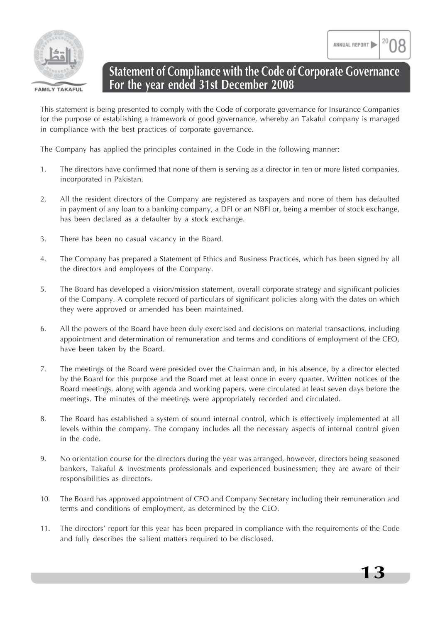

### **Statement of Compliance with the Code of Corporate Governance For the year ended 31st December 2008**

This statement is being presented to comply with the Code of corporate governance for Insurance Companies for the purpose of establishing a framework of good governance, whereby an Takaful company is managed in compliance with the best practices of corporate governance.

The Company has applied the principles contained in the Code in the following manner:

- 1. The directors have confirmed that none of them is serving as a director in ten or more listed companies, incorporated in Pakistan.
- 2. All the resident directors of the Company are registered as taxpayers and none of them has defaulted in payment of any loan to a banking company, a DFI or an NBFI or, being a member of stock exchange, has been declared as a defaulter by a stock exchange.
- 3. There has been no casual vacancy in the Board.
- 4. The Company has prepared a Statement of Ethics and Business Practices, which has been signed by all the directors and employees of the Company.
- 5. The Board has developed a vision/mission statement, overall corporate strategy and significant policies of the Company. A complete record of particulars of significant policies along with the dates on which they were approved or amended has been maintained.
- 6. All the powers of the Board have been duly exercised and decisions on material transactions, including appointment and determination of remuneration and terms and conditions of employment of the CEO, have been taken by the Board.
- 7. The meetings of the Board were presided over the Chairman and, in his absence, by a director elected by the Board for this purpose and the Board met at least once in every quarter. Written notices of the Board meetings, along with agenda and working papers, were circulated at least seven days before the meetings. The minutes of the meetings were appropriately recorded and circulated.
- 8. The Board has established a system of sound internal control, which is effectively implemented at all levels within the company. The company includes all the necessary aspects of internal control given in the code.
- 9. No orientation course for the directors during the year was arranged, however, directors being seasoned bankers, Takaful & investments professionals and experienced businessmen; they are aware of their responsibilities as directors.
- 10. The Board has approved appointment of CFO and Company Secretary including their remuneration and terms and conditions of employment, as determined by the CEO.
- 11. The directors' report for this year has been prepared in compliance with the requirements of the Code and fully describes the salient matters required to be disclosed.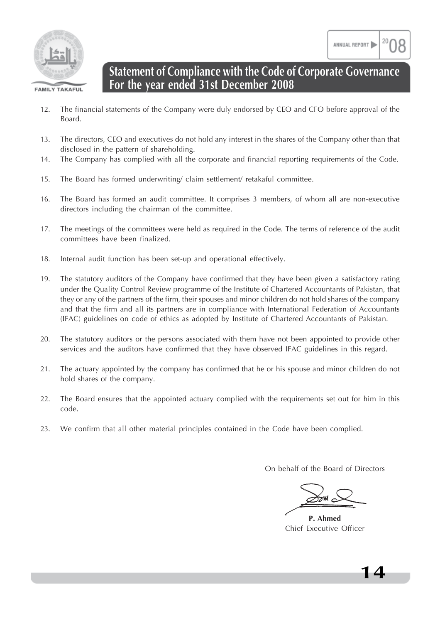

### **Statement of Compliance with the Code of Corporate Governance For the year ended 31st December 2008**

- 12. The financial statements of the Company were duly endorsed by CEO and CFO before approval of the Board.
- 13. The directors, CEO and executives do not hold any interest in the shares of the Company other than that disclosed in the pattern of shareholding.
- 14. The Company has complied with all the corporate and financial reporting requirements of the Code.
- 15. The Board has formed underwriting/ claim settlement/ retakaful committee.
- 16. The Board has formed an audit committee. It comprises 3 members, of whom all are non-executive directors including the chairman of the committee.
- 17. The meetings of the committees were held as required in the Code. The terms of reference of the audit committees have been finalized.
- 18. Internal audit function has been set-up and operational effectively.
- 19. The statutory auditors of the Company have confirmed that they have been given a satisfactory rating under the Quality Control Review programme of the Institute of Chartered Accountants of Pakistan, that they or any of the partners of the firm, their spouses and minor children do not hold shares of the company and that the firm and all its partners are in compliance with International Federation of Accountants (IFAC) guidelines on code of ethics as adopted by Institute of Chartered Accountants of Pakistan.
- 20. The statutory auditors or the persons associated with them have not been appointed to provide other services and the auditors have confirmed that they have observed IFAC guidelines in this regard.
- 21. The actuary appointed by the company has confirmed that he or his spouse and minor children do not hold shares of the company.
- 22. The Board ensures that the appointed actuary complied with the requirements set out for him in this code.
- 23. We confirm that all other material principles contained in the Code have been complied.

On behalf of the Board of Directors

**P. Ahmed** Chief Executive Officer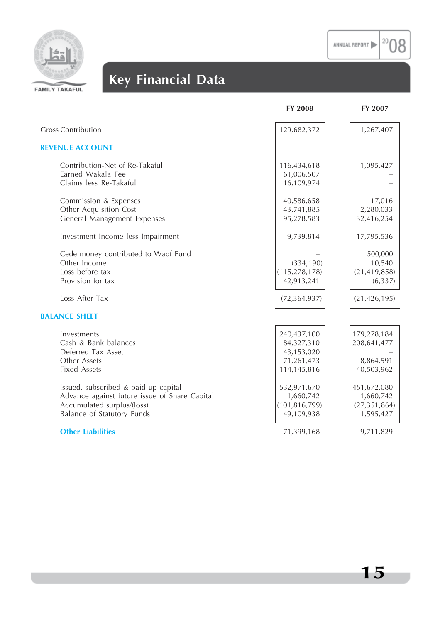$\rm ^{20}O8$ 



# **Key Financial Data**

|                                               | <b>FY 2008</b>  | FY 2007        |
|-----------------------------------------------|-----------------|----------------|
| <b>Gross Contribution</b>                     | 129,682,372     | 1,267,407      |
| <b>REVENUE ACCOUNT</b>                        |                 |                |
| Contribution-Net of Re-Takaful                | 116,434,618     | 1,095,427      |
| Earned Wakala Fee                             | 61,006,507      |                |
| Claims less Re-Takaful                        | 16,109,974      |                |
| Commission & Expenses                         | 40,586,658      | 17,016         |
| Other Acquisition Cost                        | 43,741,885      | 2,280,033      |
| General Management Expenses                   | 95,278,583      | 32,416,254     |
| Investment Income less Impairment             | 9,739,814       | 17,795,536     |
| Cede money contributed to Waqf Fund           |                 | 500,000        |
| Other Income                                  | (334, 190)      | 10,540         |
| Loss before tax                               | (115, 278, 178) | (21, 419, 858) |
| Provision for tax                             | 42,913,241      | (6, 337)       |
| Loss After Tax                                | (72, 364, 937)  | (21, 426, 195) |
| <b>BALANCE SHEET</b>                          |                 |                |
| Investments                                   | 240,437,100     | 179,278,184    |
| Cash & Bank balances                          | 84,327,310      | 208,641,477    |
| Deferred Tax Asset                            | 43,153,020      |                |
| Other Assets                                  | 71,261,473      | 8,864,591      |
| <b>Fixed Assets</b>                           | 114,145,816     | 40,503,962     |
| Issued, subscribed & paid up capital          | 532,971,670     | 451,672,080    |
| Advance against future issue of Share Capital | 1,660,742       | 1,660,742      |
| Accumulated surplus/(loss)                    | (101, 816, 799) | (27, 351, 864) |
| Balance of Statutory Funds                    | 49,109,938      | 1,595,427      |
| <b>Other Liabilities</b>                      | 71,399,168      | 9,711,829      |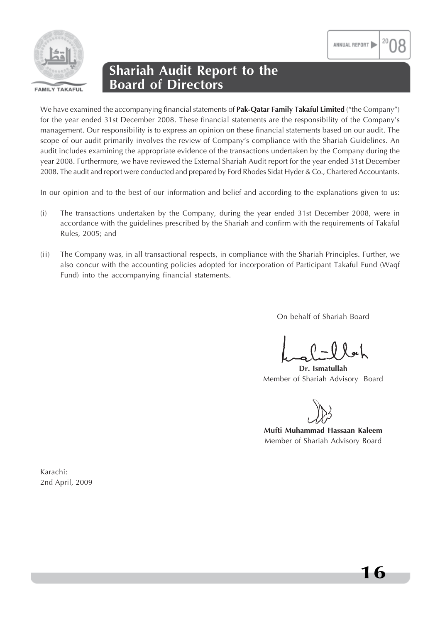

### **Shariah Audit Report to the Board of Directors**

We have examined the accompanying financial statements of **Pak-Qatar Family Takaful Limited** ("the Company") for the year ended 31st December 2008. These financial statements are the responsibility of the Company's management. Our responsibility is to express an opinion on these financial statements based on our audit. The scope of our audit primarily involves the review of Company's compliance with the Shariah Guidelines. An audit includes examining the appropriate evidence of the transactions undertaken by the Company during the year 2008. Furthermore, we have reviewed the External Shariah Audit report for the year ended 31st December 2008. The audit and report were conducted and prepared by Ford Rhodes Sidat Hyder & Co., Chartered Accountants.

In our opinion and to the best of our information and belief and according to the explanations given to us:

- (i) The transactions undertaken by the Company, during the year ended 31st December 2008, were in accordance with the guidelines prescribed by the Shariah and confirm with the requirements of Takaful Rules, 2005; and
- (ii) The Company was, in all transactional respects, in compliance with the Shariah Principles. Further, we also concur with the accounting policies adopted for incorporation of Participant Takaful Fund (Waqf Fund) into the accompanying financial statements.

On behalf of Shariah Board

**Dr. Ismatullah** Member of Shariah Advisory Board

**Mufti Muhammad Hassaan Kaleem** Member of Shariah Advisory Board

Karachi: 2nd April, 2009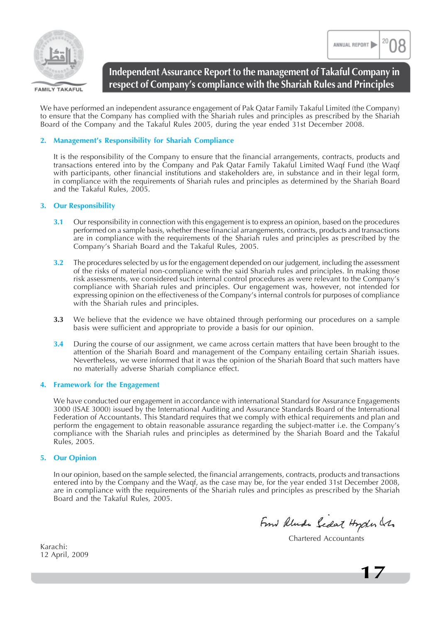



**FAMILY TAKAFUL** 

### **Independent Assurance Report to the management of Takaful Company in respect of Company's compliance with the Shariah Rules and Principles**

We have performed an independent assurance engagement of Pak Qatar Family Takaful Limited (the Company) to ensure that the Company has complied with the Shariah rules and principles as prescribed by the Shariah Board of the Company and the Takaful Rules 2005, during the year ended 31st December 2008.

### **2. Management's Responsibility for Shariah Compliance**

It is the responsibility of the Company to ensure that the financial arrangements, contracts, products and transactions entered into by the Company and Pak Qatar Family Takaful Limited Waqf Fund (the Waqf with participants, other financial institutions and stakeholders are, in substance and in their legal form, in compliance with the requirements of Shariah rules and principles as determined by the Shariah Board and the Takaful Rules, 2005.

### **3. Our Responsibility**

- **3.1** Our responsibility in connection with this engagement is to express an opinion, based on the procedures performed on a sample basis, whether these financial arrangements, contracts, products and transactions are in compliance with the requirements of the Shariah rules and principles as prescribed by the Company's Shariah Board and the Takaful Rules, 2005.
- **3.2** The procedures selected by us for the engagement depended on our judgement, including the assessment of the risks of material non-compliance with the said Shariah rules and principles. In making those risk assessments, we considered such internal control procedures as were relevant to the Company's compliance with Shariah rules and principles. Our engagement was, however, not intended for expressing opinion on the effectiveness of the Company's internal controls for purposes of compliance with the Shariah rules and principles.
- **3.3** We believe that the evidence we have obtained through performing our procedures on a sample basis were sufficient and appropriate to provide a basis for our opinion.
- **3.4** During the course of our assignment, we came across certain matters that have been brought to the attention of the Shariah Board and management of the Company entailing certain Shariah issues. Nevertheless, we were informed that it was the opinion of the Shariah Board that such matters have no materially adverse Shariah compliance effect.

### **4. Framework for the Engagement**

We have conducted our engagement in accordance with international Standard for Assurance Engagements 3000 (ISAE 3000) issued by the International Auditing and Assurance Standards Board of the International Federation of Accountants. This Standard requires that we comply with ethical requirements and plan and perform the engagement to obtain reasonable assurance regarding the subject-matter i.e. the Company's compliance with the Shariah rules and principles as determined by the Shariah Board and the Takaful Rules, 2005.

### **5. Our Opinion**

In our opinion, based on the sample selected, the financial arrangements, contracts, products and transactions entered into by the Company and the Waqf, as the case may be, for the year ended 31st December 2008, are in compliance with the requirements of the Shariah rules and principles as prescribed by the Shariah Board and the Takaful Rules, 2005.

From Rlunde Sedat Hyder Les

Chartered Accountants

Karachi: 12 April, 2009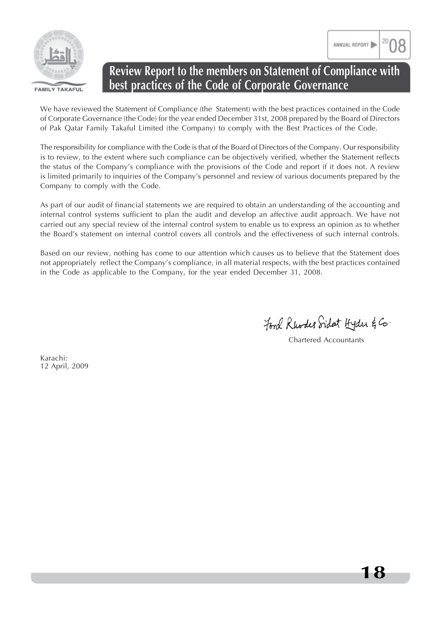



### **Review Report to the members on Statement of Compliance with best practices of the Code of Corporate Governance**

We have reviewed the Statement of Compliance (the Statement) with the best practices contained in the Code of Corporate Governance (the Code) for the year ended December 31st, 2008 prepared by the Board of Directors of Pak Qatar Family Takaful Limited (the Company) to comply with the Best Practices of the Code.

The responsibility for compliance with the Code is that of the Board of Directors of the Company. Our responsibility is to review, to the extent where such compliance can be objectively verified, whether the Statement reflects the status of the Company's compliance with the provisions of the Code and report if it does not. A review is limited primarily to inquiries of the Company's personnel and review of various documents prepared by the Company to comply with the Code.

As part of our audit of financial statements we are required to obtain an understanding of the accounting and internal control systems sufficient to plan the audit and develop an affective audit approach. We have not carried out any special review of the internal control system to enable us to express an opinion as to whether the Board's statement on internal control covers all controls and the effectiveness of such internal controls.

Based on our review, nothing has come to our attention which causes us to believe that the Statement does not appropriately reflect the Company's compliance, in all material respects, with the best practices contained in the Code as applicable to the Company, for the year ended December 31, 2008.

Ford Rhodes Sidat Hyder & Co.

Chartered Accountants

Karachi: 12 April, 2009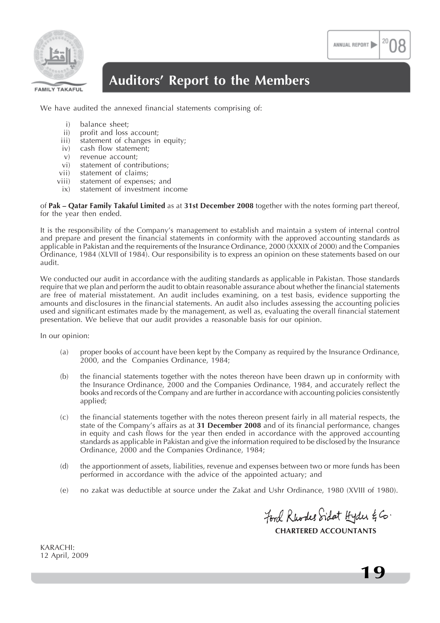

### **Auditors' Report to the Members**

We have audited the annexed financial statements comprising of:

- i) balance sheet;
- ii) profit and loss account;
- iii) statement of changes in equity;
- iv) cash flow statement;
- v) revenue account;
- vi) statement of contributions;
- vii) statement of claims;
- viii) statement of expenses; and
- ix) statement of investment income

of **Pak – Qatar Family Takaful Limited** as at **31st December 2008** together with the notes forming part thereof, for the year then ended.

It is the responsibility of the Company's management to establish and maintain a system of internal control and prepare and present the financial statements in conformity with the approved accounting standards as applicable in Pakistan and the requirements of the Insurance Ordinance, 2000 (XXXIX of 2000) and the Companies Ordinance, 1984 (XLVII of 1984). Our responsibility is to express an opinion on these statements based on our audit.

We conducted our audit in accordance with the auditing standards as applicable in Pakistan. Those standards require that we plan and perform the audit to obtain reasonable assurance about whether the financial statements are free of material misstatement. An audit includes examining, on a test basis, evidence supporting the amounts and disclosures in the financial statements. An audit also includes assessing the accounting policies used and significant estimates made by the management, as well as, evaluating the overall financial statement presentation. We believe that our audit provides a reasonable basis for our opinion.

In our opinion:

- (a) proper books of account have been kept by the Company as required by the Insurance Ordinance, 2000, and the Companies Ordinance, 1984;
- (b) the financial statements together with the notes thereon have been drawn up in conformity with the Insurance Ordinance, 2000 and the Companies Ordinance, 1984, and accurately reflect the books and records of the Company and are further in accordance with accounting policies consistently applied;
- (c) the financial statements together with the notes thereon present fairly in all material respects, the state of the Company's affairs as at **31 December 2008** and of its financial performance, changes in equity and cash flows for the year then ended in accordance with the approved accounting standards as applicable in Pakistan and give the information required to be disclosed by the Insurance Ordinance, 2000 and the Companies Ordinance, 1984;
- (d) the apportionment of assets, liabilities, revenue and expenses between two or more funds has been performed in accordance with the advice of the appointed actuary; and
- (e) no zakat was deductible at source under the Zakat and Ushr Ordinance, 1980 (XVIII of 1980).

Ford Rhodes Sidat Hyder & Co. **CHARTERED ACCOUNTANTS**

ANNUAL REPORT

KARACHI: 12 April, 2009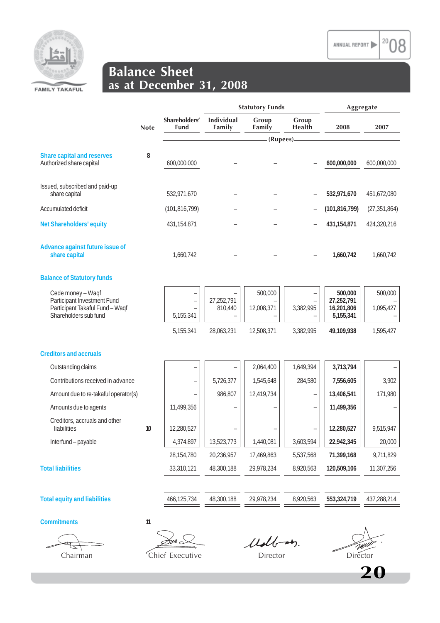

### **Balance Sheet as at December 31, 2008**

|                                                               |             | <b>Statutory Funds</b>       |                      |                 | Aggregate                |                         |                |
|---------------------------------------------------------------|-------------|------------------------------|----------------------|-----------------|--------------------------|-------------------------|----------------|
|                                                               | <b>Note</b> | Shareholders'<br><b>Fund</b> | Individual<br>Family | Group<br>Family | Group<br>Health          | 2008                    | 2007           |
|                                                               |             |                              |                      | (Rupees)        |                          |                         |                |
| <b>Share capital and reserves</b><br>Authorized share capital | 8           | 600,000,000                  |                      |                 |                          | 600,000,000             | 600,000,000    |
|                                                               |             |                              |                      |                 |                          |                         |                |
| Issued, subscribed and paid-up<br>share capital               |             | 532,971,670                  |                      |                 |                          | 532,971,670             | 451,672,080    |
| Accumulated deficit                                           |             | (101, 816, 799)              |                      |                 |                          | (101, 816, 799)         | (27, 351, 864) |
| Net Shareholders' equity                                      |             | 431, 154, 871                |                      |                 |                          | 431, 154, 871           | 424,320,216    |
| Advance against future issue of<br>share capital              |             | 1,660,742                    |                      |                 |                          | 1,660,742               | 1,660,742      |
| <b>Balance of Statutory funds</b>                             |             |                              |                      |                 |                          |                         |                |
| Cede money - Waqf<br>Participant Investment Fund              |             | -                            | 27,252,791           | 500,000         |                          | 500,000<br>27,252,791   | 500,000        |
| Participant Takaful Fund - Waqf<br>Shareholders sub fund      |             | 5,155,341                    | 810,440              | 12,008,371      | 3,382,995                | 16,201,806<br>5,155,341 | 1,095,427      |
|                                                               |             | 5,155,341                    | 28,063,231           | 12,508,371      | 3,382,995                | 49,109,938              | 1,595,427      |
| <b>Creditors and accruals</b>                                 |             |                              |                      |                 |                          |                         |                |
| Outstanding claims                                            |             |                              |                      | 2,064,400       | 1,649,394                | 3,713,794               |                |
| Contributions received in advance                             |             |                              | 5,726,377            | 1,545,648       | 284,580                  | 7,556,605               | 3,902          |
| Amount due to re-takaful operator(s)                          |             |                              | 986,807              | 12,419,734      | $\overline{\phantom{0}}$ | 13,406,541              | 171,980        |
| Amounts due to agents                                         |             | 11,499,356                   | ۳                    |                 |                          | 11,499,356              |                |
| Creditors, accruals and other<br>liabilities                  | 10          | 12,280,527                   |                      |                 |                          | 12,280,527              | 9,515,947      |
| Interfund - payable                                           |             | 4,374,897                    | 13,523,773           | 1,440,081       | 3,603,594                | 22,942,345              | 20,000         |
|                                                               |             | 28,154,780                   | 20,236,957           | 17,469,863      | 5,537,568                | 71,399,168              | 9,711,829      |
| <b>Total liabilities</b>                                      |             | 33,310,121                   | 48,300,188           | 29,978,234      | 8,920,563                | 120,509,106             | 11,307,256     |
|                                                               |             |                              |                      |                 |                          |                         |                |
| <b>Total equity and liabilities</b>                           |             | 466,125,734                  | 48,300,188           | 29,978,234      | 8,920,563                | 553,324,719             | 437,288,214    |
|                                                               |             |                              |                      |                 |                          |                         |                |

**Commitments 11**

 $\mathfrak{t}^-$ 

źш. Chairman Chief Executive Director Director Director

Udbay.

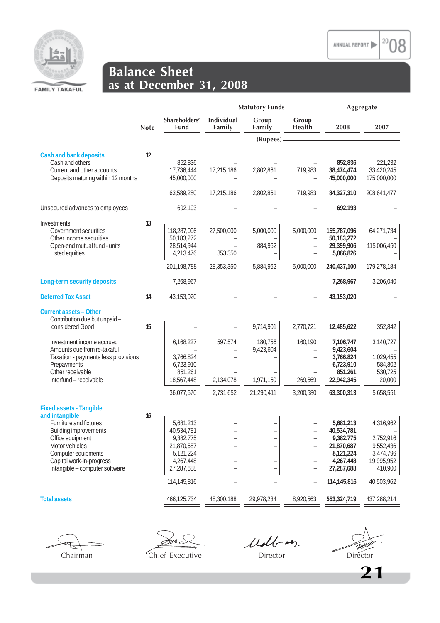

### **Balance Sheet as at December 31, 2008**

|                                                                                                                                                                                                                                       |             |                                                                                                           | <b>Statutory Funds</b>              |                                                 |                                                                                                                     | Aggregate                                                                                                 |                                                                                         |
|---------------------------------------------------------------------------------------------------------------------------------------------------------------------------------------------------------------------------------------|-------------|-----------------------------------------------------------------------------------------------------------|-------------------------------------|-------------------------------------------------|---------------------------------------------------------------------------------------------------------------------|-----------------------------------------------------------------------------------------------------------|-----------------------------------------------------------------------------------------|
|                                                                                                                                                                                                                                       | <b>Note</b> | Shareholders'<br><b>Fund</b>                                                                              | <b>Individual</b><br>Family         | Group<br>Family                                 | Group<br>Health                                                                                                     | 2008                                                                                                      | 2007                                                                                    |
|                                                                                                                                                                                                                                       |             |                                                                                                           |                                     | (Rupees) -                                      |                                                                                                                     |                                                                                                           |                                                                                         |
| <b>Cash and bank deposits</b><br>Cash and others<br>Current and other accounts<br>Deposits maturing within 12 months                                                                                                                  | 12          | 852,836<br>17,736,444<br>45,000,000                                                                       | 17,215,186                          | 2,802,861                                       | 719,983<br>$\overline{\phantom{a}}$                                                                                 | 852,836<br>38,474,474<br>45,000,000                                                                       | 221,232<br>33,420,245<br>175,000,000                                                    |
|                                                                                                                                                                                                                                       |             | 63,589,280                                                                                                | 17,215,186                          | 2,802,861                                       | 719,983                                                                                                             | 84,327,310                                                                                                | 208,641,477                                                                             |
| Unsecured advances to employees                                                                                                                                                                                                       |             | 692,193                                                                                                   |                                     |                                                 |                                                                                                                     | 692,193                                                                                                   |                                                                                         |
| Investments<br>Government securities<br>Other income securities<br>Open-end mutual fund - units<br>Listed equities                                                                                                                    | 13          | 118,287,096<br>50,183,272<br>28,514,944<br>4,213,476<br>201,198,788                                       | 27,500,000<br>853,350<br>28,353,350 | 5,000,000<br>884,962<br>5,884,962               | 5,000,000<br>$\overline{\phantom{0}}$<br>5,000,000                                                                  | 155,787,096<br>50,183,272<br>29,399,906<br>5,066,826<br>240,437,100                                       | 64,271,734<br>115,006,450<br>179,278,184                                                |
| Long-term security deposits                                                                                                                                                                                                           |             | 7,268,967                                                                                                 |                                     |                                                 |                                                                                                                     | 7,268,967                                                                                                 | 3,206,040                                                                               |
| <b>Deferred Tax Asset</b>                                                                                                                                                                                                             | 14          | 43,153,020                                                                                                |                                     |                                                 |                                                                                                                     | 43,153,020                                                                                                |                                                                                         |
| <b>Current assets - Other</b><br>Contribution due but unpaid -<br>considered Good                                                                                                                                                     | 15          |                                                                                                           |                                     | 9,714,901                                       | 2,770,721                                                                                                           | 12,485,622                                                                                                | 352,842                                                                                 |
| Investment income accrued<br>Amounts due from re-takaful<br>Taxation - payments less provisions<br>Prepayments<br>Other receivable<br>Interfund - receivable                                                                          |             | 6,168,227<br>3,766,824<br>6,723,910<br>851,261<br>18,567,448<br>36,077,670                                | 597,574<br>2,134,078<br>2,731,652   | 180,756<br>9,423,604<br>1,971,150<br>21,290,411 | 160,190<br>$\overline{\phantom{0}}$<br>$\overline{\phantom{0}}$<br>$\overline{\phantom{0}}$<br>269,669<br>3,200,580 | 7,106,747<br>9,423,604<br>3,766,824<br>6,723,910<br>851,261<br>22,942,345<br>63,300,313                   | 3,140,727<br>1,029,455<br>584,802<br>530,725<br>20,000<br>5,658,551                     |
| <b>Fixed assets - Tangible</b><br>and intangible<br>Furniture and fixtures<br><b>Building improvements</b><br>Office equipment<br>Motor vehicles<br>Computer equipments<br>Capital work-in-progress<br>Intangible - computer software | 16          | 5,681,213<br>40,534,781<br>9,382,775<br>21,870,687<br>5,121,224<br>4,267,448<br>27,287,688<br>114,145,816 |                                     | $\overline{\phantom{0}}$<br>-                   | ÷<br>$\overline{\phantom{0}}$<br>$\overline{\phantom{0}}$                                                           | 5,681,213<br>40,534,781<br>9,382,775<br>21,870,687<br>5,121,224<br>4,267,448<br>27,287,688<br>114,145,816 | 4,316,962<br>2,752,916<br>9,552,436<br>3,474,796<br>19,995,952<br>410,900<br>40,503,962 |
| <b>Total assets</b>                                                                                                                                                                                                                   |             | 466,125,734                                                                                               | 48,300,188                          | 29,978,234                                      | 8,920,563                                                                                                           | 553,324,719                                                                                               | 437,288,214                                                                             |

इ

 $\lesssim$ พ $\sim$ Chairman Chief Executive Director Director Director

Udbay.

20 )8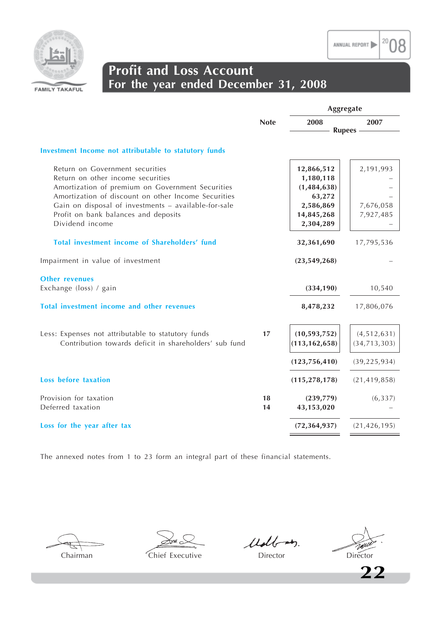



### **Profit and Loss Account For the year ended December 31, 2008**

|                                                                                                                                                                                                                                         |             | Aggregate                                                       |                                 |  |
|-----------------------------------------------------------------------------------------------------------------------------------------------------------------------------------------------------------------------------------------|-------------|-----------------------------------------------------------------|---------------------------------|--|
|                                                                                                                                                                                                                                         | <b>Note</b> | 2008<br><b>Rupees</b>                                           | 2007                            |  |
|                                                                                                                                                                                                                                         |             |                                                                 |                                 |  |
| Investment Income not attributable to statutory funds                                                                                                                                                                                   |             |                                                                 |                                 |  |
| Return on Government securities<br>Return on other income securities<br>Amortization of premium on Government Securities<br>Amortization of discount on other Income Securities<br>Gain on disposal of investments - available-for-sale |             | 12,866,512<br>1,180,118<br>(1, 484, 638)<br>63,272<br>2,586,869 | 2,191,993<br>7,676,058          |  |
| Profit on bank balances and deposits<br>Dividend income                                                                                                                                                                                 |             | 14,845,268<br>2,304,289                                         | 7,927,485                       |  |
| Total investment income of Shareholders' fund                                                                                                                                                                                           |             | 32,361,690                                                      | 17,795,536                      |  |
| Impairment in value of investment                                                                                                                                                                                                       |             | (23, 549, 268)                                                  |                                 |  |
| <b>Other revenues</b><br>Exchange (loss) / gain                                                                                                                                                                                         |             | (334, 190)                                                      | 10,540                          |  |
| Total investment income and other revenues                                                                                                                                                                                              |             | 8,478,232                                                       | 17,806,076                      |  |
| Less: Expenses not attributable to statutory funds<br>Contribution towards deficit in shareholders' sub fund                                                                                                                            | 17          | (10, 593, 752)<br>(113, 162, 658)                               | (4, 512, 631)<br>(34, 713, 303) |  |
|                                                                                                                                                                                                                                         |             | (123, 756, 410)                                                 | (39, 225, 934)                  |  |
| <b>Loss before taxation</b>                                                                                                                                                                                                             |             | (115, 278, 178)                                                 | (21, 419, 858)                  |  |
| Provision for taxation<br>Deferred taxation                                                                                                                                                                                             | 18<br>14    | (239,779)<br>43,153,020                                         | (6, 337)                        |  |
| Loss for the year after tax                                                                                                                                                                                                             |             | (72, 364, 937)                                                  | (21, 426, 195)                  |  |

The annexed notes from 1 to 23 form an integral part of these financial statements.

Udb-m.

TWU Chairman Chief Executive Director Director Director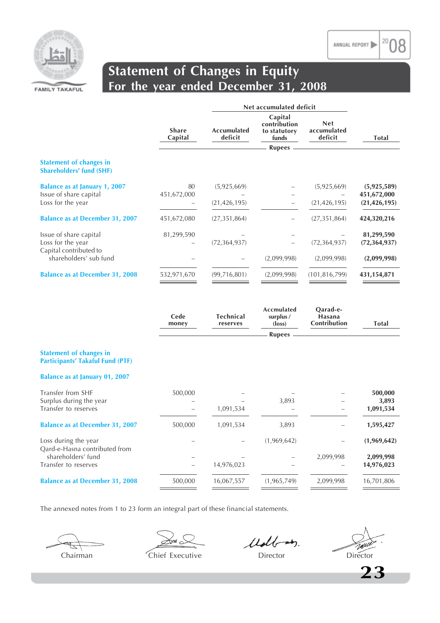

### **Statement of Changes in Equity For the year ended December 31, 2008**

|                                                                   | <b>Share</b><br>Capital | <b>Accumulated</b><br>deficit | Capital<br>contribution<br>to statutory<br>funds | <b>Net</b><br>accumulated<br>deficit | <b>Total</b>                  |
|-------------------------------------------------------------------|-------------------------|-------------------------------|--------------------------------------------------|--------------------------------------|-------------------------------|
|                                                                   |                         |                               | <b>Rupees</b>                                    |                                      |                               |
| <b>Statement of changes in</b><br><b>Shareholders' fund (SHF)</b> |                         |                               |                                                  |                                      |                               |
| <b>Balance as at January 1, 2007</b>                              | 80                      | (5,925,669)                   |                                                  | (5,925,669)                          | (5,925,589)                   |
| Issue of share capital<br>Loss for the year                       | 451,672,000             | (21, 426, 195)                | $\overline{\phantom{m}}$                         | (21, 426, 195)                       | 451,672,000<br>(21, 426, 195) |
| <b>Balance as at December 31, 2007</b>                            | 451,672,080             | (27, 351, 864)                |                                                  | (27, 351, 864)                       | 424,320,216                   |
| Issue of share capital                                            | 81,299,590              |                               |                                                  |                                      | 81,299,590                    |
| Loss for the year                                                 |                         | (72, 364, 937)                |                                                  | (72, 364, 937)                       | (72, 364, 937)                |
| Capital contributed to<br>shareholders' sub fund                  |                         |                               | (2,099,998)                                      | (2,099,998)                          | (2,099,998)                   |
| <b>Balance as at December 31, 2008</b>                            | 532,971,670             | (99, 716, 801)                | (2,099,998)                                      | (101, 816, 799)                      | 431, 154, 871                 |

|                                                                           | Cede<br>money | <b>Technical</b><br>reserves | <b>Accmulated</b><br>surplus /<br>$(\text{loss})$ | Qarad-e-<br>Hasana<br>Contribution | Total                   |
|---------------------------------------------------------------------------|---------------|------------------------------|---------------------------------------------------|------------------------------------|-------------------------|
|                                                                           |               |                              | <b>Rupees</b>                                     |                                    |                         |
| <b>Statement of changes in</b><br><b>Participants' Takaful Fund (PTF)</b> |               |                              |                                                   |                                    |                         |
| <b>Balance as at January 01, 2007</b>                                     |               |                              |                                                   |                                    |                         |
| Transfer from SHF<br>Surplus during the year                              | 500,000       |                              | 3,893                                             |                                    | 500,000<br>3,893        |
| Transfer to reserves                                                      |               | 1,091,534                    |                                                   |                                    | 1,091,534               |
| <b>Balance as at December 31, 2007</b>                                    | 500,000       | 1,091,534                    | 3,893                                             |                                    | 1,595,427               |
| Loss during the year<br>Qard-e-Hasna contributed from                     |               |                              | (1,969,642)                                       |                                    | (1,969,642)             |
| shareholders' fund<br>Transfer to reserves                                |               | 14,976,023                   |                                                   | 2,099,998                          | 2,099,998<br>14,976,023 |
| <b>Balance as at December 31, 2008</b>                                    | 500,000       | 16,067,557                   | (1,965,749)                                       | 2,099,998                          | 16,701,806              |

The annexed notes from 1 to 23 form an integral part of these financial statements.

≤nd .

Udbay.

Chairman Chief Executive Director Director Director

TWU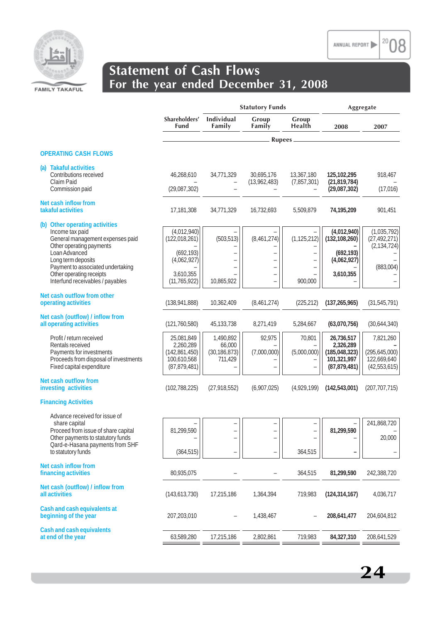

|                                                                                                                   |                                                  | <b>Statutory Funds</b>    |                                            |                           |                                                  |                                                | Aggregate |
|-------------------------------------------------------------------------------------------------------------------|--------------------------------------------------|---------------------------|--------------------------------------------|---------------------------|--------------------------------------------------|------------------------------------------------|-----------|
|                                                                                                                   | Shareholders'<br>Fund                            | Individual<br>Family      | Group<br>Family                            | Group<br>Health           | 2008                                             | 2007                                           |           |
|                                                                                                                   |                                                  |                           | Rupees -                                   |                           |                                                  |                                                |           |
| <b>OPERATING CASH FLOWS</b>                                                                                       |                                                  |                           |                                            |                           |                                                  |                                                |           |
| (a) Takaful activities<br>Contributions received<br>Claim Paid                                                    | 46,268,610                                       | 34,771,329                | 30,695,176<br>(13,962,483)                 | 13,367,180<br>(7,857,301) | 125,102,295<br>(21, 819, 784)                    | 918,467                                        |           |
| Commission paid                                                                                                   | (29,087,302)                                     |                           |                                            |                           | (29,087,302)                                     | (17, 016)                                      |           |
| Net cash inflow from<br>takaful activities                                                                        | 17,181,308                                       | 34,771,329                | 16,732,693                                 | 5,509,879                 | 74,195,209                                       | 901,451                                        |           |
| (b) Other operating activities<br>Income tax paid<br>General management expenses paid<br>Other operating payments | (4,012,940)<br>(122, 018, 261)                   | (503, 513)                | (8,461,274)                                | (1, 125, 212)             | (4,012,940)<br>(132, 108, 260)                   | (1,035,792)<br>(27, 492, 271)<br>(2, 134, 724) |           |
| Loan Advanced<br>Long term deposits<br>Payment to associated undertaking                                          | (692, 193)<br>(4,062,927)                        |                           | ۳<br>$\overline{\phantom{0}}$              | -                         | (692, 193)<br>(4,062,927)                        | (883,004)                                      |           |
| Other operating receipts<br>Interfund receivables / payables                                                      | 3,610,355<br>(11, 765, 922)                      | 10,865,922                | $\overline{\phantom{0}}$<br>$\overline{a}$ | 900,000                   | 3,610,355                                        |                                                |           |
| Net cash outflow from other<br>operating activities                                                               | (138, 941, 888)                                  | 10,362,409                | (8,461,274)                                | (225, 212)                | (137, 265, 965)                                  | (31, 545, 791)                                 |           |
| Net cash (outflow) / inflow from<br>all operating activities                                                      | (121, 760, 580)                                  | 45,133,738                | 8,271,419                                  | 5,284,667                 | (63,070,756)                                     | (30,644,340)                                   |           |
| Profit / return received<br>Rentals received                                                                      | 25,081,849<br>2,260,289                          | 1,490,892<br>66,000       | 92,975                                     | 70,801                    | 26,736,517<br>2,326,289                          | 7,821,260                                      |           |
| Payments for investments<br>Proceeds from disposal of investments<br>Fixed capital expenditure                    | (142, 861, 450)<br>100,610,568<br>(87, 879, 481) | (30, 186, 873)<br>711,429 | (7,000,000)                                | (5,000,000)               | (185, 048, 323)<br>101,321,997<br>(87, 879, 481) | (295,645,000)<br>122,669,640<br>(42, 553, 615) |           |
| Net cash outflow from<br>investing activities                                                                     | (102, 788, 225)                                  | (27, 918, 552)            | (6,907,025)                                | (4,929,199)               | (142, 543, 001)                                  | (207, 707, 715)                                |           |
| <b>Financing Activities</b>                                                                                       |                                                  |                           |                                            |                           |                                                  |                                                |           |
| Advance received for issue of<br>share capital<br>Proceed from issue of share capital                             | 81,299,590                                       | $\overline{\phantom{0}}$  | -<br>$\overline{\phantom{0}}$              |                           | 81,299,590                                       | 241,868,720                                    |           |
| Other payments to statutory funds<br>Qard-e-Hasana payments from SHF                                              | -                                                |                           | ÷                                          |                           |                                                  | 20,000                                         |           |
| to statutory funds                                                                                                | (364, 515)                                       | $\overline{\phantom{0}}$  | $\qquad \qquad -$                          | 364,515                   |                                                  |                                                |           |
| <b>Net cash inflow from</b><br>financing activities                                                               | 80,935,075                                       |                           |                                            | 364,515                   | 81,299,590                                       | 242,388,720                                    |           |
| Net cash (outflow) / inflow from<br>all activities                                                                | (143, 613, 730)                                  | 17,215,186                | 1,364,394                                  | 719,983                   | (124, 314, 167)                                  | 4,036,717                                      |           |
| Cash and cash equivalents at<br>beginning of the year                                                             | 207,203,010                                      |                           | 1,438,467                                  |                           | 208,641,477                                      | 204,604,812                                    |           |
| <b>Cash and cash equivalents</b><br>at end of the year                                                            | 63,589,280                                       | 17,215,186                | 2,802,861                                  | 719,983                   | 84,327,310                                       | 208,641,529                                    |           |

**24**

20 ANNUAL REPORT

)8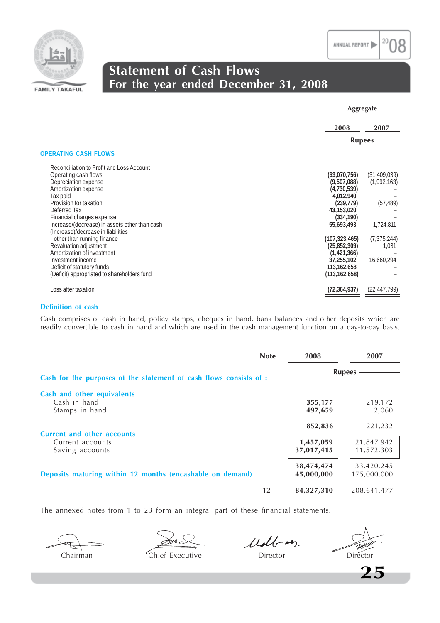



### **Statement of Cash Flows For the year ended December 31, 2008**

|                                               |                 | Aggregate      |  |  |
|-----------------------------------------------|-----------------|----------------|--|--|
|                                               | 2008            | 2007           |  |  |
|                                               | <b>Rupees</b>   |                |  |  |
| <b>OPERATING CASH FLOWS</b>                   |                 |                |  |  |
| Reconciliation to Profit and Loss Account     |                 |                |  |  |
| Operating cash flows                          | (63,070,756)    | (31, 409, 039) |  |  |
| Depreciation expense                          | (9,507,088)     | (1,992,163)    |  |  |
| Amortization expense                          | (4,730,539)     |                |  |  |
| Tax paid                                      | 4,012,940       |                |  |  |
| Provision for taxation                        | (239, 779)      | (57, 489)      |  |  |
| Deferred Tax                                  | 43,153,020      |                |  |  |
| Financial charges expense                     | (334, 190)      |                |  |  |
| Increase/(decrease) in assets other than cash | 55,693,493      | 1,724,811      |  |  |
| (Increase)/decrease in liabilities            |                 |                |  |  |
| other than running finance                    | (107, 323, 465) | (7, 375, 244)  |  |  |
| Revaluation adjustment                        | (25, 852, 309)  | 1,031          |  |  |
| Amortization of investment                    | (1,421,366)     |                |  |  |
| Investment income                             | 37,255,102      | 16,660,294     |  |  |
| Deficit of statutory funds                    | 113,162,658     |                |  |  |
| (Deficit) appropriated to shareholders fund   | (113, 162, 658) |                |  |  |
| Loss after taxation                           | (72, 364, 937)  | (22, 447, 799) |  |  |
|                                               |                 |                |  |  |

### **Definition of cash**

Cash comprises of cash in hand, policy stamps, cheques in hand, bank balances and other deposits which are readily convertible to cash in hand and which are used in the cash management function on a day-to-day basis.

|                                                                          | <b>Note</b> | 2008                               | 2007                                |
|--------------------------------------------------------------------------|-------------|------------------------------------|-------------------------------------|
| Cash for the purposes of the statement of cash flows consists of :       |             |                                    | <b>Rupees</b>                       |
| Cash and other equivalents<br>Cash in hand<br>Stamps in hand             |             | 355,177<br>497,659                 | 219,172<br>2,060                    |
| <b>Current and other accounts</b><br>Current accounts<br>Saving accounts |             | 852,836<br>1,457,059<br>37,017,415 | 221,232<br>21,847,942<br>11,572,303 |
| Deposits maturing within 12 months (encashable on demand)                |             | 38,474,474<br>45,000,000           | 33,420,245<br>175,000,000           |
|                                                                          | 12          | 84,327,310                         | 208,641,477                         |

The annexed notes from 1 to 23 form an integral part of these financial statements.

 $\lesssim_{\mathsf{M}}$ 

Udbay.

TWU Chairman Chief Executive Director Director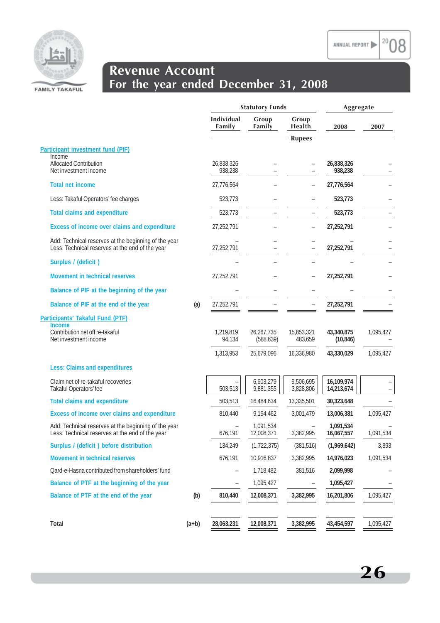$2008$ 



## **Revenue Account For the year ended December 31, 2008**

|                                                                                                         |         | <b>Statutory Funds</b> |                          |                          | Aggregate                |           |
|---------------------------------------------------------------------------------------------------------|---------|------------------------|--------------------------|--------------------------|--------------------------|-----------|
|                                                                                                         |         | Individual<br>Family   | Group<br>Family          | Group<br>Health          | 2008                     | 2007      |
|                                                                                                         |         |                        |                          | <b>Rupees</b>            |                          |           |
| <b>Participant investment fund (PIF)</b>                                                                |         |                        |                          |                          |                          |           |
| Income<br><b>Allocated Contribution</b><br>Net investment income                                        |         | 26,838,326<br>938,238  |                          |                          | 26,838,326<br>938,238    |           |
| <b>Total net income</b>                                                                                 |         | 27,776,564             |                          |                          | 27,776,564               |           |
| Less: Takaful Operators' fee charges                                                                    |         | 523,773                |                          |                          | 523,773                  |           |
| <b>Total claims and expenditure</b>                                                                     |         | 523,773                |                          |                          | 523,773                  |           |
| Excess of income over claims and expenditure                                                            |         | 27,252,791             |                          | $\qquad \qquad -$        | 27,252,791               |           |
| Add: Technical reserves at the beginning of the year<br>Less: Technical reserves at the end of the year |         | 27,252,791             |                          |                          | 27,252,791               |           |
| Surplus / (deficit)                                                                                     |         |                        |                          |                          |                          |           |
| Movement in technical reserves                                                                          |         | 27,252,791             |                          |                          | 27,252,791               |           |
| Balance of PIF at the beginning of the year                                                             |         |                        |                          |                          |                          |           |
| Balance of PIF at the end of the year                                                                   | (a)     | 27,252,791             |                          |                          | 27,252,791               |           |
| Participants' Takaful Fund (PTF)                                                                        |         |                        |                          |                          |                          |           |
| <b>Income</b><br>Contribution net off re-takaful<br>Net investment income                               |         | 1,219,819<br>94,134    | 26,267,735<br>(588, 639) | 15,853,321<br>483,659    | 43,340,875<br>(10, 846)  | 1,095,427 |
|                                                                                                         |         | 1,313,953              | 25,679,096               | 16,336,980               | 43,330,029               | 1,095,427 |
| <b>Less: Claims and expenditures</b>                                                                    |         |                        |                          |                          |                          |           |
| Claim net of re-takaful recoveries<br>Takaful Operators' fee                                            |         | 503,513                | 6,603,279<br>9,881,355   | 9,506,695<br>3,828,806   | 16,109,974<br>14,213,674 |           |
| <b>Total claims and expenditure</b>                                                                     |         | 503,513                | 16,484,634               | 13,335,501               | 30,323,648               |           |
| Excess of income over claims and expenditure                                                            |         | 810,440                | 9,194,462                | 3,001,479                | 13,006,381               | 1,095,427 |
| Add: Technical reserves at the beginning of the year<br>Less: Technical reserves at the end of the year |         | 676,191                | 1,091,534<br>12,008,371  | 3,382,995                | 1,091,534<br>16,067,557  | 1,091,534 |
| Surplus / (deficit) before distribution                                                                 |         | 134,249                | (1, 722, 375)            | (381, 516)               | (1,969,642)              | 3,893     |
| Movement in technical reserves                                                                          |         | 676,191                | 10,916,837               | 3,382,995                | 14,976,023               | 1,091,534 |
| Qard-e-Hasna contributed from shareholders' fund                                                        |         | -                      | 1,718,482                | 381,516                  | 2,099,998                |           |
| Balance of PTF at the beginning of the year                                                             |         |                        | 1,095,427                | $\overline{\phantom{a}}$ | 1,095,427                |           |
| Balance of PTF at the end of the year                                                                   | (b)     | 810,440                | 12,008,371               | 3,382,995                | 16,201,806               | 1,095,427 |
| Total                                                                                                   | $(a+b)$ | 28,063,231             | 12,008,371               | 3,382,995                | 43,454,597               | 1,095,427 |
|                                                                                                         |         |                        |                          |                          |                          |           |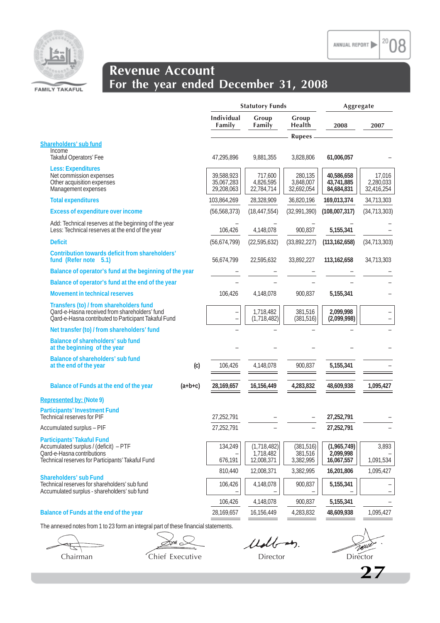



### **Revenue Account For the year ended December 31, 2008**

|                                                                                                                                                               |           | <b>Statutory Funds</b>                 |                                        |                                    | Aggregate                              |                                   |
|---------------------------------------------------------------------------------------------------------------------------------------------------------------|-----------|----------------------------------------|----------------------------------------|------------------------------------|----------------------------------------|-----------------------------------|
|                                                                                                                                                               |           | Individual<br>Family                   | Group<br>Family                        | Group<br><b>Health</b>             | 2008                                   | 2007                              |
|                                                                                                                                                               |           |                                        |                                        | <b>Rupees</b>                      |                                        |                                   |
| Shareholders' sub fund<br>Income                                                                                                                              |           |                                        |                                        |                                    |                                        |                                   |
| Takaful Operators' Fee                                                                                                                                        |           | 47,295,896                             | 9,881,355                              | 3,828,806                          | 61,006,057                             |                                   |
| <b>Less: Expenditures</b><br>Net commission expenses<br>Other acquisition expenses<br>Management expenses                                                     |           | 39,588,923<br>35,067,283<br>29,208,063 | 717,600<br>4,826,595<br>22,784,714     | 280,135<br>3,848,007<br>32,692,054 | 40,586,658<br>43,741,885<br>84,684,831 | 17,016<br>2,280,033<br>32,416,254 |
| <b>Total expenditures</b>                                                                                                                                     |           | 103,864,269                            | 28,328,909                             | 36,820,196                         | 169,013,374                            | 34,713,303                        |
| <b>Excess of expenditure over income</b>                                                                                                                      |           | (56, 568, 373)                         | (18, 447, 554)                         | (32,991,390)                       | (108,007,317)                          | (34, 713, 303)                    |
| Add: Technical reserves at the beginning of the year<br>Less: Technical reserves at the end of the year                                                       |           | 106,426                                | 4,148,078                              | 900,837                            | 5,155,341                              |                                   |
| <b>Deficit</b>                                                                                                                                                |           | (56, 674, 799)                         | (22,595,632)                           | (33,892,227)                       | (113, 162, 658)                        | (34, 713, 303)                    |
| Contribution towards deficit from shareholders'<br>fund (Refer note 5.1)                                                                                      |           | 56,674,799                             | 22,595,632                             | 33,892,227                         | 113,162,658                            | 34,713,303                        |
| Balance of operator's fund at the beginning of the year                                                                                                       |           |                                        |                                        |                                    |                                        |                                   |
| Balance of operator's fund at the end of the year                                                                                                             |           |                                        |                                        |                                    |                                        |                                   |
| <b>Movement in technical reserves</b>                                                                                                                         |           | 106,426                                | 4,148,078                              | 900.837                            | 5,155,341                              |                                   |
| Transfers (to) / from shareholders fund<br>Qard-e-Hasna received from shareholders' fund<br>Oard-e-Hasna contributed to Participant Takaful Fund              |           | $\overline{\phantom{0}}$               | 1,718,482<br>(1,718,482)               | 381,516<br>(381, 516)              | 2,099,998<br>(2,099,998)               |                                   |
| Net transfer (to) / from shareholders' fund                                                                                                                   |           |                                        |                                        |                                    |                                        |                                   |
| Balance of shareholders' sub fund<br>at the beginning of the year                                                                                             |           |                                        |                                        |                                    |                                        |                                   |
| Balance of shareholders' sub fund<br>at the end of the year                                                                                                   | (c)       | 106,426                                | 4,148,078                              | 900,837                            | 5,155,341                              |                                   |
| Balance of Funds at the end of the year                                                                                                                       | $(a+b+c)$ | 28,169,657                             | 16,156,449                             | 4,283,832                          | 48,609,938                             | 1,095,427                         |
| Represented by: (Note 9)                                                                                                                                      |           |                                        |                                        |                                    |                                        |                                   |
| <b>Participants' Investment Fund</b><br>Technical reserves for PIF                                                                                            |           | 27,252,791                             |                                        |                                    | 27,252,791                             |                                   |
| Accumulated surplus - PIF                                                                                                                                     |           | 27,252,791                             |                                        | $\overline{\phantom{0}}$           | 27,252,791                             |                                   |
| <b>Participants' Takaful Fund</b><br>Accumulated surplus / (deficit) - PTF<br>Qard-e-Hasna contributions<br>Technical reserves for Participants' Takaful Fund |           | 134,249<br>676,191                     | (1,718,482)<br>1,718,482<br>12,008,371 | (381, 516)<br>381,516<br>3,382,995 | (1,965,749)<br>2,099,998<br>16,067,557 | 3,893<br>1,091,534                |
|                                                                                                                                                               |           | 810,440                                | 12,008,371                             | 3,382,995                          | 16,201,806                             | 1,095,427                         |
| <b>Shareholders' sub Fund</b><br>Technical reserves for shareholders' sub fund<br>Accumulated surplus - shareholders' sub fund                                |           | 106,426                                | 4,148,078                              | 900,837                            | 5,155,341                              |                                   |
|                                                                                                                                                               |           | 106,426                                | 4,148,078                              | 900,837                            | 5,155,341                              |                                   |
| Balance of Funds at the end of the year                                                                                                                       |           | 28,169,657                             | 16,156,449                             | 4,283,832                          | 48,609,938                             | 1,095,427                         |

The annexed notes from 1 to 23 form an integral part of these financial statements.

Son $\approx$ Chairman Chief Executive Director Director Director

Udbay.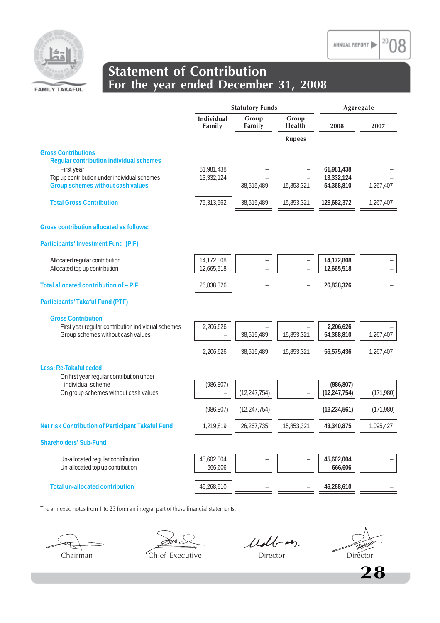

|                                                                                            | <b>Statutory Funds</b>   |                   |                                                      | Aggregate                    |                          |
|--------------------------------------------------------------------------------------------|--------------------------|-------------------|------------------------------------------------------|------------------------------|--------------------------|
|                                                                                            | Individual<br>Family     | Group<br>Family   | Group<br>Health                                      | 2008                         | 2007                     |
|                                                                                            |                          |                   | <b>Rupees</b>                                        |                              |                          |
| <b>Gross Contributions</b><br><b>Regular contribution individual schemes</b><br>First year | 61,981,438               |                   |                                                      | 61,981,438                   |                          |
| Top up contribution under individual schemes<br>Group schemes without cash values          | 13,332,124               | 38,515,489        | 15,853,321                                           | 13,332,124<br>54,368,810     | 1,267,407                |
| <b>Total Gross Contribution</b>                                                            | 75,313,562               | 38,515,489        | 15,853,321                                           | 129,682,372                  | 1,267,407                |
| <b>Gross contribution allocated as follows:</b>                                            |                          |                   |                                                      |                              |                          |
| <b>Participants' Investment Fund (PIF)</b>                                                 |                          |                   |                                                      |                              |                          |
| Allocated regular contribution<br>Allocated top up contribution                            | 14,172,808<br>12,665,518 |                   |                                                      | 14,172,808<br>12,665,518     |                          |
| Total allocated contribution of - PIF                                                      | 26,838,326               |                   |                                                      | 26,838,326                   |                          |
| <b>Participants' Takaful Fund (PTF)</b>                                                    |                          |                   |                                                      |                              |                          |
| <b>Gross Contribution</b>                                                                  |                          |                   |                                                      |                              |                          |
| First year regular contribution individual schemes<br>Group schemes without cash values    | 2,206,626                | 38,515,489        | 15,853,321                                           | 2,206,626<br>54,368,810      | 1,267,407                |
|                                                                                            | 2,206,626                | 38,515,489        | 15,853,321                                           | 56,575,436                   | 1,267,407                |
| Less: Re-Takaful ceded<br>On first year regular contribution under                         |                          |                   |                                                      |                              |                          |
| individual scheme<br>On group schemes without cash values                                  | (986, 807)               | (12, 247, 754)    |                                                      | (986, 807)<br>(12, 247, 754) | (171,980)                |
|                                                                                            | (986, 807)               | (12, 247, 754)    |                                                      | (13, 234, 561)               | (171,980)                |
| Net risk Contribution of Participant Takaful Fund                                          | 1,219,819                | 26,267,735        | 15,853,321                                           | 43,340,875                   | 1,095,427                |
| <b>Shareholders' Sub-Fund</b>                                                              |                          |                   |                                                      |                              |                          |
| Un-allocated regular contribution<br>Un-allocated top up contribution                      | 45,602,004<br>666,606    | $\qquad \qquad -$ | $\overline{\phantom{0}}$<br>$\overline{\phantom{m}}$ | 45,602,004<br>666,606        | $\overline{\phantom{a}}$ |
|                                                                                            |                          |                   |                                                      |                              |                          |
| <b>Total un-allocated contribution</b>                                                     | 46,268,610               |                   |                                                      | 46,268,610                   |                          |

The annexed notes from 1 to 23 form an integral part of these financial statements.

ั้วน≀ .

Udb-m.

TWU Chairman Chief Executive Director Director Director

20 ANNUAL REPORT

**28**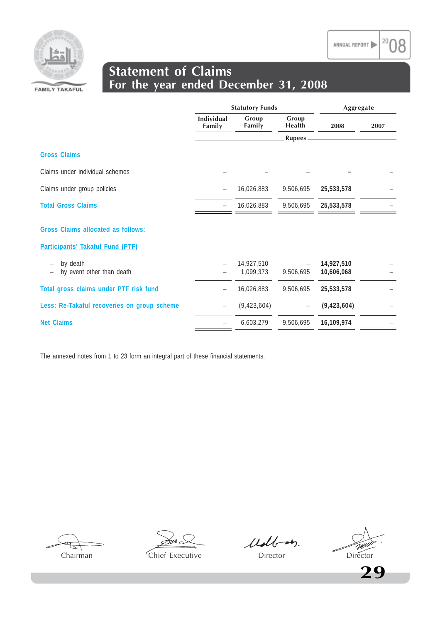



### **Statement of Claims For the year ended December 31, 2008**

|                                                            |                             | <b>Statutory Funds</b>  | Aggregate                |                          |      |
|------------------------------------------------------------|-----------------------------|-------------------------|--------------------------|--------------------------|------|
|                                                            | <b>Individual</b><br>Family | Group<br>Family         | Group<br>Health          | 2008                     | 2007 |
|                                                            |                             |                         | Rupees.                  |                          |      |
| <b>Gross Claims</b>                                        |                             |                         |                          |                          |      |
| Claims under individual schemes                            |                             |                         |                          |                          |      |
| Claims under group policies                                | $\qquad \qquad -$           | 16,026,883              | 9,506,695                | 25,533,578               |      |
| <b>Total Gross Claims</b>                                  |                             | 16,026,883              | 9,506,695                | 25,533,578               |      |
| Gross Claims allocated as follows:                         |                             |                         |                          |                          |      |
| Participants' Takaful Fund (PTF)                           |                             |                         |                          |                          |      |
| by death<br>by event other than death<br>$\qquad \qquad -$ |                             | 14,927,510<br>1,099,373 | 9,506,695                | 14,927,510<br>10,606,068 |      |
| Total gross claims under PTF risk fund                     |                             | 16,026,883              | 9,506,695                | 25,533,578               |      |
| Less: Re-Takaful recoveries on group scheme                | $\qquad \qquad -$           | (9, 423, 604)           | $\overline{\phantom{m}}$ | (9, 423, 604)            |      |
| <b>Net Claims</b>                                          |                             | 6,603,279               | 9,506,695                | 16,109,974               |      |

The annexed notes from 1 to 23 form an integral part of these financial statements.

Udb-m.

TWU Chairman Chief Executive Director Director Director

**29**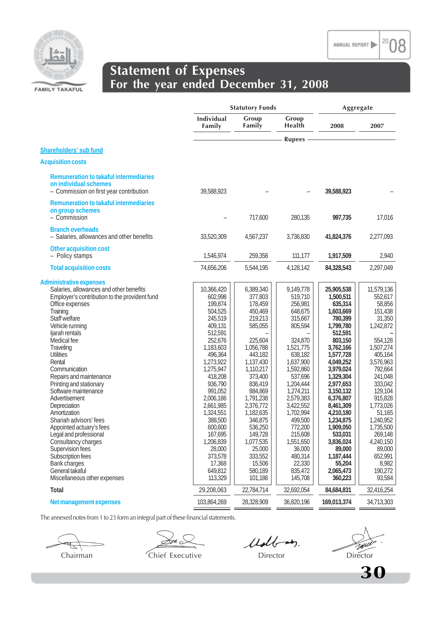

### **Statement of Expenses For the year ended December 31, 2008**

|                                                                                                                                                                                                                                                                                                                                                                                                                                                                                                                                                                                                                     |                                                                                                                                                                                                                                                                                                           | <b>Statutory Funds</b>                                                                                                                                                                                                                                                                        |                                                                                                                                                                                                                                                                                                   |                                                                                                                                                                                                                                                                                                                                 | Aggregate                                                                                                                                                                                                                                                                                  |  |  |
|---------------------------------------------------------------------------------------------------------------------------------------------------------------------------------------------------------------------------------------------------------------------------------------------------------------------------------------------------------------------------------------------------------------------------------------------------------------------------------------------------------------------------------------------------------------------------------------------------------------------|-----------------------------------------------------------------------------------------------------------------------------------------------------------------------------------------------------------------------------------------------------------------------------------------------------------|-----------------------------------------------------------------------------------------------------------------------------------------------------------------------------------------------------------------------------------------------------------------------------------------------|---------------------------------------------------------------------------------------------------------------------------------------------------------------------------------------------------------------------------------------------------------------------------------------------------|---------------------------------------------------------------------------------------------------------------------------------------------------------------------------------------------------------------------------------------------------------------------------------------------------------------------------------|--------------------------------------------------------------------------------------------------------------------------------------------------------------------------------------------------------------------------------------------------------------------------------------------|--|--|
|                                                                                                                                                                                                                                                                                                                                                                                                                                                                                                                                                                                                                     | Individual<br>Family                                                                                                                                                                                                                                                                                      | Group<br>Family                                                                                                                                                                                                                                                                               | Group<br>Health                                                                                                                                                                                                                                                                                   | 2008                                                                                                                                                                                                                                                                                                                            | 2007                                                                                                                                                                                                                                                                                       |  |  |
|                                                                                                                                                                                                                                                                                                                                                                                                                                                                                                                                                                                                                     |                                                                                                                                                                                                                                                                                                           |                                                                                                                                                                                                                                                                                               | <b>Rupees</b>                                                                                                                                                                                                                                                                                     |                                                                                                                                                                                                                                                                                                                                 |                                                                                                                                                                                                                                                                                            |  |  |
| Shareholders' sub fund                                                                                                                                                                                                                                                                                                                                                                                                                                                                                                                                                                                              |                                                                                                                                                                                                                                                                                                           |                                                                                                                                                                                                                                                                                               |                                                                                                                                                                                                                                                                                                   |                                                                                                                                                                                                                                                                                                                                 |                                                                                                                                                                                                                                                                                            |  |  |
| <b>Acquisition costs</b>                                                                                                                                                                                                                                                                                                                                                                                                                                                                                                                                                                                            |                                                                                                                                                                                                                                                                                                           |                                                                                                                                                                                                                                                                                               |                                                                                                                                                                                                                                                                                                   |                                                                                                                                                                                                                                                                                                                                 |                                                                                                                                                                                                                                                                                            |  |  |
| <b>Remuneration to takaful intermediaries</b><br>on individual schemes<br>- Commission on first year contribution                                                                                                                                                                                                                                                                                                                                                                                                                                                                                                   | 39,588,923                                                                                                                                                                                                                                                                                                |                                                                                                                                                                                                                                                                                               |                                                                                                                                                                                                                                                                                                   | 39,588,923                                                                                                                                                                                                                                                                                                                      |                                                                                                                                                                                                                                                                                            |  |  |
| <b>Remuneration to takaful intermediaries</b><br>on group schemes<br>- Commission                                                                                                                                                                                                                                                                                                                                                                                                                                                                                                                                   |                                                                                                                                                                                                                                                                                                           | 717,600                                                                                                                                                                                                                                                                                       | 280,135                                                                                                                                                                                                                                                                                           | 997,735                                                                                                                                                                                                                                                                                                                         | 17,016                                                                                                                                                                                                                                                                                     |  |  |
| <b>Branch overheads</b><br>- Salaries, allowances and other benefits                                                                                                                                                                                                                                                                                                                                                                                                                                                                                                                                                | 33,520,309                                                                                                                                                                                                                                                                                                | 4,567,237                                                                                                                                                                                                                                                                                     | 3,736,830                                                                                                                                                                                                                                                                                         | 41,824,376                                                                                                                                                                                                                                                                                                                      | 2,277,093                                                                                                                                                                                                                                                                                  |  |  |
| Other acquisition cost<br>- Policy stamps                                                                                                                                                                                                                                                                                                                                                                                                                                                                                                                                                                           | 1,546,974                                                                                                                                                                                                                                                                                                 | 259,358                                                                                                                                                                                                                                                                                       | 111,177                                                                                                                                                                                                                                                                                           | 1,917,509                                                                                                                                                                                                                                                                                                                       | 2,940                                                                                                                                                                                                                                                                                      |  |  |
| <b>Total acquisition costs</b>                                                                                                                                                                                                                                                                                                                                                                                                                                                                                                                                                                                      | 74,656,206                                                                                                                                                                                                                                                                                                | 5,544,195                                                                                                                                                                                                                                                                                     | 4,128,142                                                                                                                                                                                                                                                                                         | 84,328,543                                                                                                                                                                                                                                                                                                                      | 2,297,049                                                                                                                                                                                                                                                                                  |  |  |
| <b>Administrative expenses</b><br>Salaries, allowances and other benefits<br>Employer's contribution to the provident fund<br>Office expenses<br>Training<br>Staff welfare<br>Vehicle running<br>ljarah rentals<br>Medical fee<br>Traveling<br><b>Utilities</b><br>Rental<br>Communication<br>Repairs and maintenance<br>Printing and stationary<br>Software maintenance<br>Advertisement<br>Depreciation<br>Amortization<br>Shariah advisors' fees<br>Appointed actuary's fees<br>Legal and professional<br>Consultancy charges<br>Supervision fees<br>Subscription fees<br><b>Bank charges</b><br>General takaful | 10,366,420<br>602,998<br>199,874<br>504,525<br>245,519<br>409,131<br>512,591<br>252,676<br>1,183,603<br>496,364<br>1,273,922<br>1,275,947<br>418,208<br>936,790<br>991,052<br>2,006,186<br>2,661,985<br>1,324,551<br>388,500<br>600,600<br>167,695<br>1,206,839<br>28,000<br>373,578<br>17,368<br>649,812 | 6,389,340<br>377,803<br>178,459<br>450,469<br>219,213<br>585,055<br>225,604<br>1,056,788<br>443,182<br>1,137,430<br>1,110,217<br>373,400<br>836,419<br>884,869<br>1,791,238<br>2,376,772<br>1,182,635<br>346,875<br>536,250<br>149,728<br>1,077,535<br>25,000<br>333,552<br>15,506<br>580,189 | 9,149,778<br>519,710<br>256,981<br>648,675<br>315,667<br>805,594<br>324,870<br>1,521,775<br>638,182<br>1,637,900<br>1,592,860<br>537,696<br>1,204,444<br>1,274,211<br>2,579,383<br>3,422,552<br>1,702,994<br>499,500<br>772,200<br>215,608<br>1,551,650<br>36,000<br>480,314<br>22,330<br>835,472 | 25,905,538<br>1,500,511<br>635,314<br>1,603,669<br>780,399<br>1,799,780<br>512,591<br>803,150<br>3,762,166<br>1,577,728<br>4,049,252<br>3,979,024<br>1,329,304<br>2,977,653<br>3,150,132<br>6,376,807<br>8,461,309<br>4,210,180<br>1,234,875<br>1,909,050<br>533,031<br>3,836,024<br>89,000<br>1,187,444<br>55,204<br>2,065,473 | 11,579,136<br>552,617<br>58,856<br>151,438<br>31,350<br>1,242,872<br>554,128<br>1,507,274<br>405,164<br>3,576,963<br>792,664<br>241,048<br>333,042<br>129,104<br>915,828<br>1,773,026<br>51,165<br>1,240,952<br>1,735,500<br>269,148<br>4,240,150<br>89,000<br>652,991<br>8,982<br>190,272 |  |  |
| Miscellaneous other expenses                                                                                                                                                                                                                                                                                                                                                                                                                                                                                                                                                                                        | 113,329                                                                                                                                                                                                                                                                                                   | 101,186                                                                                                                                                                                                                                                                                       | 145,708                                                                                                                                                                                                                                                                                           | 360,223                                                                                                                                                                                                                                                                                                                         | 93,584                                                                                                                                                                                                                                                                                     |  |  |
| Total<br>Net management expenses                                                                                                                                                                                                                                                                                                                                                                                                                                                                                                                                                                                    | 29,208,063<br>103,864,269                                                                                                                                                                                                                                                                                 | 22,784,714<br>28,328,909                                                                                                                                                                                                                                                                      | 32,692,054<br>36,820,196                                                                                                                                                                                                                                                                          | 84,684,831<br>169,013,374                                                                                                                                                                                                                                                                                                       | 32,416,254<br>34,713,303                                                                                                                                                                                                                                                                   |  |  |
|                                                                                                                                                                                                                                                                                                                                                                                                                                                                                                                                                                                                                     |                                                                                                                                                                                                                                                                                                           |                                                                                                                                                                                                                                                                                               |                                                                                                                                                                                                                                                                                                   |                                                                                                                                                                                                                                                                                                                                 |                                                                                                                                                                                                                                                                                            |  |  |

The annexed notes from 1 to 23 form an integral part of these financial statements.

Sm S

Udbary.

Turv Chairman Chief Executive Director Director Director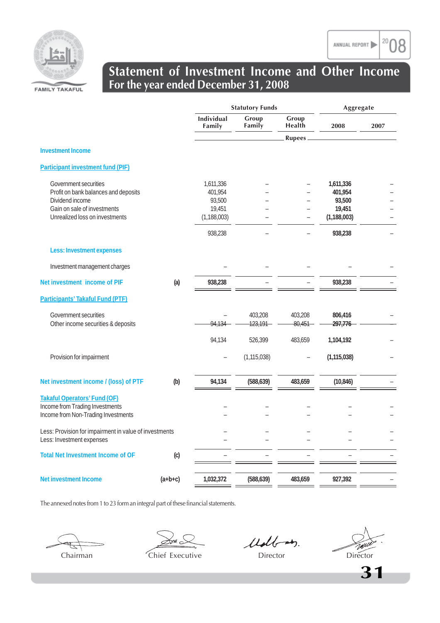



### **Statement of Investment Income and Other Income For the year ended December 31, 2008**

|                                                                                     |           | <b>Statutory Funds</b> |                 |                 | Aggregate     |      |
|-------------------------------------------------------------------------------------|-----------|------------------------|-----------------|-----------------|---------------|------|
|                                                                                     |           | Individual<br>Family   | Group<br>Family | Group<br>Health | 2008          | 2007 |
|                                                                                     |           |                        |                 | <b>Rupees</b>   |               |      |
| <b>Investment Income</b>                                                            |           |                        |                 |                 |               |      |
| <b>Participant investment fund (PIF)</b>                                            |           |                        |                 |                 |               |      |
| Government securities                                                               |           | 1,611,336              |                 |                 | 1,611,336     |      |
| Profit on bank balances and deposits                                                |           | 401,954                |                 |                 | 401,954       |      |
| Dividend income                                                                     |           | 93,500                 |                 |                 | 93,500        |      |
| Gain on sale of investments                                                         |           | 19,451                 |                 |                 | 19,451        |      |
| Unrealized loss on investments                                                      |           | (1, 188, 003)          |                 |                 | (1, 188, 003) |      |
|                                                                                     |           | 938,238                |                 |                 | 938,238       |      |
| <b>Less: Investment expenses</b>                                                    |           |                        |                 |                 |               |      |
| Investment management charges                                                       |           |                        |                 |                 |               |      |
| Net investment income of PIF                                                        | (a)       | 938,238                |                 |                 | 938,238       |      |
| <b>Participants' Takaful Fund (PTF)</b>                                             |           |                        |                 |                 |               |      |
| Government securities                                                               |           |                        | 403,208         | 403,208         | 806,416       |      |
| Other income securities & deposits                                                  |           | 94.134                 | 123,191         | 80,451          | 297,776       |      |
|                                                                                     |           | 94,134                 | 526,399         | 483,659         | 1,104,192     |      |
| Provision for impairment                                                            |           |                        | (1, 115, 038)   |                 | (1, 115, 038) |      |
| Net investment income / (loss) of PTF                                               | (b)       | 94,134                 | (588, 639)      | 483,659         | (10, 846)     |      |
| <b>Takaful Operators' Fund (OF)</b>                                                 |           |                        |                 |                 |               |      |
| Income from Trading Investments                                                     |           |                        |                 |                 |               |      |
| Income from Non-Trading Investments                                                 |           |                        |                 |                 |               |      |
| Less: Provision for impairment in value of investments<br>Less: Investment expenses |           |                        |                 |                 |               |      |
| <b>Total Net Investment Income of OF</b>                                            | (c)       |                        |                 |                 |               |      |
| <b>Net investment Income</b>                                                        |           | 1,032,372              | (588, 639)      | 483,659         | 927,392       |      |
|                                                                                     | $(a+b+c)$ |                        |                 |                 |               |      |

The annexed notes from 1 to 23 form an integral part of these financial statements.

Udb-m.

TAN Chairman Chief Executive Director Director Director

**31**

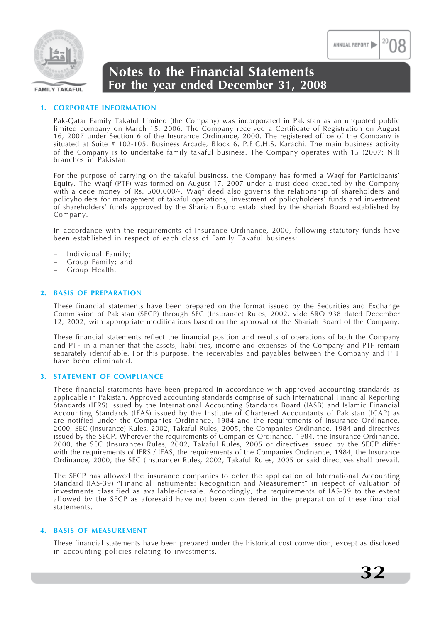

### **1. CORPORATE INFORMATION**

Pak-Qatar Family Takaful Limited (the Company) was incorporated in Pakistan as an unquoted public limited company on March 15, 2006. The Company received a Certificate of Registration on August 16, 2007 under Section 6 of the Insurance Ordinance, 2000. The registered office of the Company is situated at Suite # 102-105, Business Arcade, Block 6, P.E.C.H.S, Karachi. The main business activity of the Company is to undertake family takaful business. The Company operates with 15 (2007: Nil) branches in Pakistan.

For the purpose of carrying on the takaful business, the Company has formed a Waqf for Participants' Equity. The Waqf (PTF) was formed on August 17, 2007 under a trust deed executed by the Company with a cede money of Rs. 500,000/-. Waqf deed also governs the relationship of shareholders and policyholders for management of takaful operations, investment of policyholders' funds and investment of shareholders' funds approved by the Shariah Board established by the shariah Board established by Company.

In accordance with the requirements of Insurance Ordinance, 2000, following statutory funds have been established in respect of each class of Family Takaful business:

- Individual Family;
- Group Family; and
- Group Health.

### **2. BASIS OF PREPARATION**

These financial statements have been prepared on the format issued by the Securities and Exchange Commission of Pakistan (SECP) through SEC (Insurance) Rules, 2002, vide SRO 938 dated December 12, 2002, with appropriate modifications based on the approval of the Shariah Board of the Company.

These financial statements reflect the financial position and results of operations of both the Company and PTF in a manner that the assets, liabilities, income and expenses of the Company and PTF remain separately identifiable. For this purpose, the receivables and payables between the Company and PTF have been eliminated.

### **3. STATEMENT OF COMPLIANCE**

These financial statements have been prepared in accordance with approved accounting standards as applicable in Pakistan. Approved accounting standards comprise of such International Financial Reporting Standards (IFRS) issued by the International Accounting Standards Board (IASB) and Islamic Financial Accounting Standards (IFAS) issued by the Institute of Chartered Accountants of Pakistan (ICAP) as are notified under the Companies Ordinance, 1984 and the requirements of Insurance Ordinance, 2000, SEC (Insurance) Rules, 2002, Takaful Rules, 2005, the Companies Ordinance, 1984 and directives issued by the SECP. Wherever the requirements of Companies Ordinance, 1984, the Insurance Ordinance, 2000, the SEC (Insurance) Rules, 2002, Takaful Rules, 2005 or directives issued by the SECP differ with the requirements of IFRS / IFAS, the requirements of the Companies Ordinance, 1984, the Insurance Ordinance, 2000, the SEC (Insurance) Rules, 2002, Takaful Rules, 2005 or said directives shall prevail.

The SECP has allowed the insurance companies to defer the application of International Accounting Standard (IAS-39) "Financial Instruments: Recognition and Measurement" in respect of valuation of investments classified as available-for-sale. Accordingly, the requirements of IAS-39 to the extent allowed by the SECP as aforesaid have not been considered in the preparation of these financial statements.

#### **4. BASIS OF MEASUREMENT**

These financial statements have been prepared under the historical cost convention, except as disclosed in accounting policies relating to investments.



ANNUAL REPORT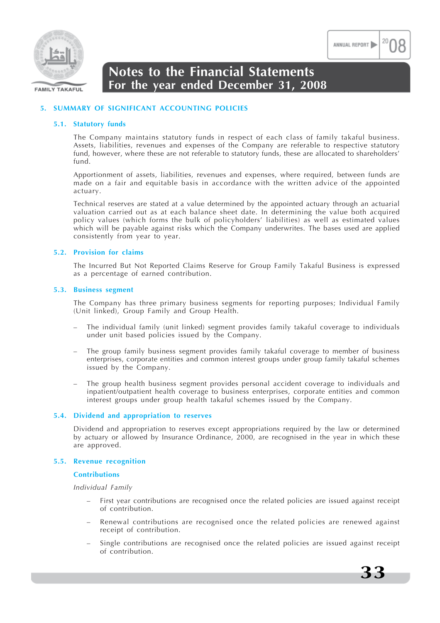

### **5. SUMMARY OF SIGNIFICANT ACCOUNTING POLICIES**

#### **5.1. Statutory funds**

The Company maintains statutory funds in respect of each class of family takaful business. Assets, liabilities, revenues and expenses of the Company are referable to respective statutory fund, however, where these are not referable to statutory funds, these are allocated to shareholders' fund.

Apportionment of assets, liabilities, revenues and expenses, where required, between funds are made on a fair and equitable basis in accordance with the written advice of the appointed actuary.

Technical reserves are stated at a value determined by the appointed actuary through an actuarial valuation carried out as at each balance sheet date. In determining the value both acquired policy values (which forms the bulk of policyholders' liabilities) as well as estimated values which will be payable against risks which the Company underwrites. The bases used are applied consistently from year to year.

### **5.2. Provision for claims**

The Incurred But Not Reported Claims Reserve for Group Family Takaful Business is expressed as a percentage of earned contribution.

#### **5.3. Business segment**

The Company has three primary business segments for reporting purposes; Individual Family (Unit linked), Group Family and Group Health.

- The individual family (unit linked) segment provides family takaful coverage to individuals under unit based policies issued by the Company.
- The group family business segment provides family takaful coverage to member of business enterprises, corporate entities and common interest groups under group family takaful schemes issued by the Company.
- The group health business segment provides personal accident coverage to individuals and inpatient/outpatient health coverage to business enterprises, corporate entities and common interest groups under group health takaful schemes issued by the Company.

#### **5.4. Dividend and appropriation to reserves**

Dividend and appropriation to reserves except appropriations required by the law or determined by actuary or allowed by Insurance Ordinance, 2000, are recognised in the year in which these are approved.

### **5.5. Revenue recognition**

#### **Contributions**

*Individual Family*

- First year contributions are recognised once the related policies are issued against receipt of contribution.
- Renewal contributions are recognised once the related policies are renewed against receipt of contribution.
- Single contributions are recognised once the related policies are issued against receipt of contribution.



ANNUAL REPORT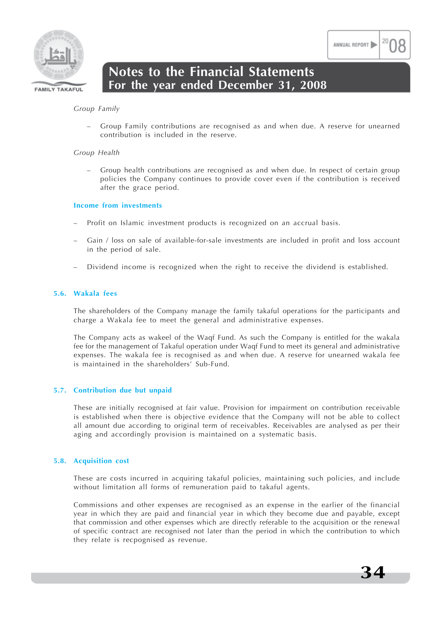



### *Group Family*

– Group Family contributions are recognised as and when due. A reserve for unearned contribution is included in the reserve.

### *Group Health*

– Group health contributions are recognised as and when due. In respect of certain group policies the Company continues to provide cover even if the contribution is received after the grace period.

### **Income from investments**

- Profit on Islamic investment products is recognized on an accrual basis.
- Gain / loss on sale of available-for-sale investments are included in profit and loss account in the period of sale.
- Dividend income is recognized when the right to receive the dividend is established.

### **5.6. Wakala fees**

The shareholders of the Company manage the family takaful operations for the participants and charge a Wakala fee to meet the general and administrative expenses.

The Company acts as wakeel of the Waqf Fund. As such the Company is entitled for the wakala fee for the management of Takaful operation under Waqf Fund to meet its general and administrative expenses. The wakala fee is recognised as and when due. A reserve for unearned wakala fee is maintained in the shareholders' Sub-Fund.

### **5.7. Contribution due but unpaid**

These are initially recognised at fair value. Provision for impairment on contribution receivable is established when there is objective evidence that the Company will not be able to collect all amount due according to original term of receivables. Receivables are analysed as per their aging and accordingly provision is maintained on a systematic basis.

### **5.8. Acquisition cost**

These are costs incurred in acquiring takaful policies, maintaining such policies, and include without limitation all forms of remuneration paid to takaful agents.

Commissions and other expenses are recognised as an expense in the earlier of the financial year in which they are paid and financial year in which they become due and payable, except that commission and other expenses which are directly referable to the acquisition or the renewal of specific contract are recognised not later than the period in which the contribution to which they relate is recpognised as revenue.

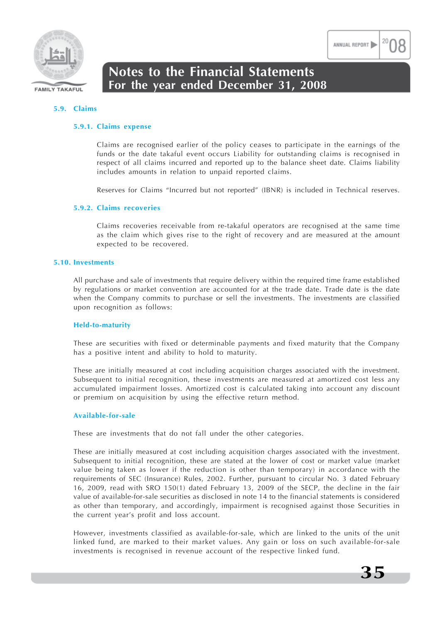

#### **5.9. Claims**

#### **5.9.1. Claims expense**

Claims are recognised earlier of the policy ceases to participate in the earnings of the funds or the date takaful event occurs Liability for outstanding claims is recognised in respect of all claims incurred and reported up to the balance sheet date. Claims liability includes amounts in relation to unpaid reported claims.

Reserves for Claims "Incurred but not reported" (IBNR) is included in Technical reserves.

#### **5.9.2. Claims recoveries**

Claims recoveries receivable from re-takaful operators are recognised at the same time as the claim which gives rise to the right of recovery and are measured at the amount expected to be recovered.

### **5.10. Investments**

All purchase and sale of investments that require delivery within the required time frame established by regulations or market convention are accounted for at the trade date. Trade date is the date when the Company commits to purchase or sell the investments. The investments are classified upon recognition as follows:

#### **Held-to-maturity**

These are securities with fixed or determinable payments and fixed maturity that the Company has a positive intent and ability to hold to maturity.

These are initially measured at cost including acquisition charges associated with the investment. Subsequent to initial recognition, these investments are measured at amortized cost less any accumulated impairment losses. Amortized cost is calculated taking into account any discount or premium on acquisition by using the effective return method.

#### **Available-for-sale**

These are investments that do not fall under the other categories.

These are initially measured at cost including acquisition charges associated with the investment. Subsequent to initial recognition, these are stated at the lower of cost or market value (market value being taken as lower if the reduction is other than temporary) in accordance with the requirements of SEC (Insurance) Rules, 2002. Further, pursuant to circular No. 3 dated February 16, 2009, read with SRO 150(1) dated February 13, 2009 of the SECP, the decline in the fair value of available-for-sale securities as disclosed in note 14 to the financial statements is considered as other than temporary, and accordingly, impairment is recognised against those Securities in the current year's profit and loss account.

However, investments classified as available-for-sale, which are linked to the units of the unit linked fund, are marked to their market values. Any gain or loss on such available-for-sale investments is recognised in revenue account of the respective linked fund.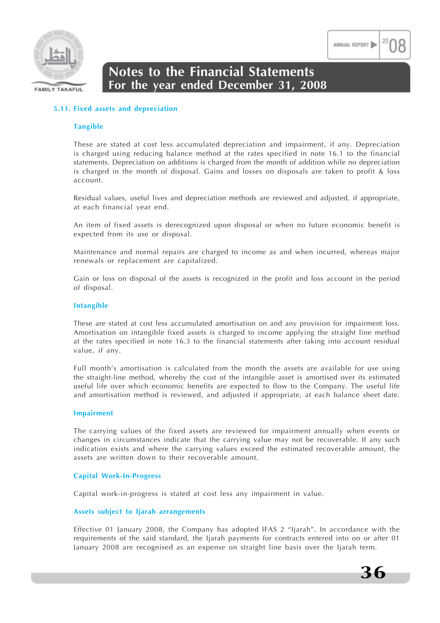

### **5.11. Fixed assets and depreciation**

### **Tangible**

These are stated at cost less accumulated depreciation and impairment, if any. Depreciation is charged using reducing balance method at the rates specified in note 16.1 to the financial statements. Depreciation on additions is charged from the month of addition while no depreciation is charged in the month of disposal. Gains and losses on disposals are taken to profit & loss account.

Residual values, useful lives and depreciation methods are reviewed and adjusted, if appropriate, at each financial year end.

An item of fixed assets is derecognized upon disposal or when no future economic benefit is expected from its use or disposal.

Maintenance and normal repairs are charged to income as and when incurred, whereas major renewals or replacement are capitalized.

Gain or loss on disposal of the assets is recognized in the profit and loss account in the period of disposal.

### **Intangible**

These are stated at cost less accumulated amortisation on and any provision for impairment loss. Amortisation on intangible fixed assets is charged to income applying the straight line method at the rates specified in note 16.3 to the financial statements after taking into account residual value, if any.

Full month's amortisation is calculated from the month the assets are available for use using the straight-line method, whereby the cost of the intangible asset is amortised over its estimated useful life over which economic benefits are expected to flow to the Company. The useful life and amortisation method is reviewed, and adjusted if appropriate, at each balance sheet date.

### **Impairment**

The carrying values of the fixed assets are reviewed for impairment annually when events or changes in circumstances indicate that the carrying value may not be recoverable. If any such indication exists and where the carrying values exceed the estimated recoverable amount, the assets are written down to their recoverable amount.

### **Capital Work-In-Progress**

Capital work-in-progress is stated at cost less any impairment in value.

### **Assets subject to Ijarah arrangements**

Effective 01 January 2008, the Company has adopted IFAS 2 "Ijarah". In accordance with the requirements of the said standard, the Ijarah payments for contracts entered into on or after 01 January 2008 are recognised as an expense on straight line basis over the Ijarah term.

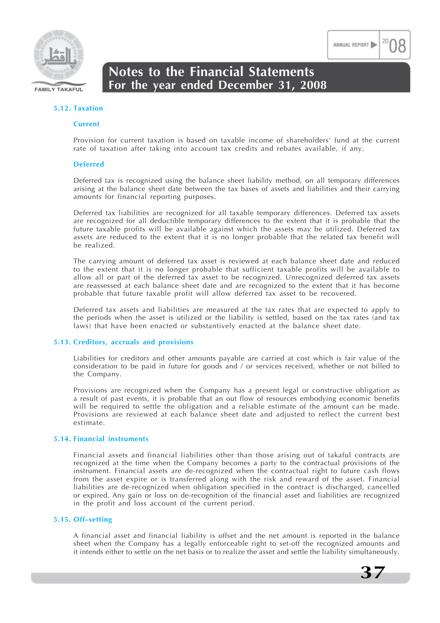

#### **5.12. Taxation**

#### **Current**

Provision for current taxation is based on taxable income of shareholders' fund at the current rate of taxation after taking into account tax credits and rebates available, if any.

#### **Deferred**

Deferred tax is recognized using the balance sheet liability method, on all temporary differences arising at the balance sheet date between the tax bases of assets and liabilities and their carrying amounts for financial reporting purposes.

Deferred tax liabilities are recognized for all taxable temporary differences. Deferred tax assets are recognized for all deductible temporary differences to the extent that it is probable that the future taxable profits will be available against which the assets may be utilized. Deferred tax assets are reduced to the extent that it is no longer probable that the related tax benefit will be realized.

The carrying amount of deferred tax asset is reviewed at each balance sheet date and reduced to the extent that it is no longer probable that sufficient taxable profits will be available to allow all or part of the deferred tax asset to be recognized. Unrecognized deferred tax assets are reassessed at each balance sheet date and are recognized to the extent that it has become probable that future taxable profit will allow deferred tax asset to be recovered.

Deferred tax assets and liabilities are measured at the tax rates that are expected to apply to the periods when the asset is utilized or the liability is settled, based on the tax rates (and tax laws) that have been enacted or substantively enacted at the balance sheet date.

#### **5.13. Creditors, accruals and provisions**

Liabilities for creditors and other amounts payable are carried at cost which is fair value of the consideration to be paid in future for goods and / or services received, whether or not billed to the Company.

Provisions are recognized when the Company has a present legal or constructive obligation as a result of past events, it is probable that an out flow of resources embodying economic benefits will be required to settle the obligation and a reliable estimate of the amount can be made. Provisions are reviewed at each balance sheet date and adjusted to reflect the current best estimate.

#### **5.14. Financial instruments**

Financial assets and financial liabilities other than those arising out of takaful contracts are recognized at the time when the Company becomes a party to the contractual provisions of the instrument. Financial assets are de-recognized when the contractual right to future cash flows from the asset expire or is transferred along with the risk and reward of the asset. Financial liabilities are de-recognized when obligation specified in the contract is discharged, cancelled or expired. Any gain or loss on de-recognition of the financial asset and liabilities are recognized in the profit and loss account of the current period.

#### **5.15. Off–setting**

A financial asset and financial liability is offset and the net amount is reported in the balance sheet when the Company has a legally enforceable right to set-off the recognized amounts and it intends either to settle on the net basis or to realize the asset and settle the liability simultaneously.



ANNUAL REPORT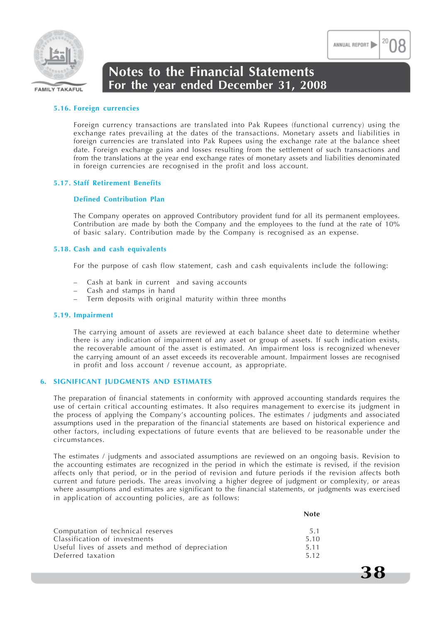

### **5.16. Foreign currencies**

Foreign currency transactions are translated into Pak Rupees (functional currency) using the exchange rates prevailing at the dates of the transactions. Monetary assets and liabilities in foreign currencies are translated into Pak Rupees using the exchange rate at the balance sheet date. Foreign exchange gains and losses resulting from the settlement of such transactions and from the translations at the year end exchange rates of monetary assets and liabilities denominated in foreign currencies are recognised in the profit and loss account.

### **5.17. Staff Retirement Benefits**

#### **Defined Contribution Plan**

The Company operates on approved Contributory provident fund for all its permanent employees. Contribution are made by both the Company and the employees to the fund at the rate of 10% of basic salary. Contribution made by the Company is recognised as an expense.

#### **5.18. Cash and cash equivalents**

For the purpose of cash flow statement, cash and cash equivalents include the following:

- Cash at bank in current and saving accounts
- Cash and stamps in hand
- Term deposits with original maturity within three months

#### **5.19. Impairment**

The carrying amount of assets are reviewed at each balance sheet date to determine whether there is any indication of impairment of any asset or group of assets. If such indication exists, the recoverable amount of the asset is estimated. An impairment loss is recognized whenever the carrying amount of an asset exceeds its recoverable amount. Impairment losses are recognised in profit and loss account / revenue account, as appropriate.

#### **6. SIGNIFICANT JUDGMENTS AND ESTIMATES**

The preparation of financial statements in conformity with approved accounting standards requires the use of certain critical accounting estimates. It also requires management to exercise its judgment in the process of applying the Company's accounting polices. The estimates / judgments and associated assumptions used in the preparation of the financial statements are based on historical experience and other factors, including expectations of future events that are believed to be reasonable under the circumstances.

The estimates / judgments and associated assumptions are reviewed on an ongoing basis. Revision to the accounting estimates are recognized in the period in which the estimate is revised, if the revision affects only that period, or in the period of revision and future periods if the revision affects both current and future periods. The areas involving a higher degree of judgment or complexity, or areas where assumptions and estimates are significant to the financial statements, or judgments was exercised in application of accounting policies, are as follows:

| Computation of technical reserves                 | 5.1  |
|---------------------------------------------------|------|
| Classification of investments                     | 5.10 |
| Useful lives of assets and method of depreciation | 5.11 |
| Deferred taxation                                 | 5.12 |



**38**

**Note**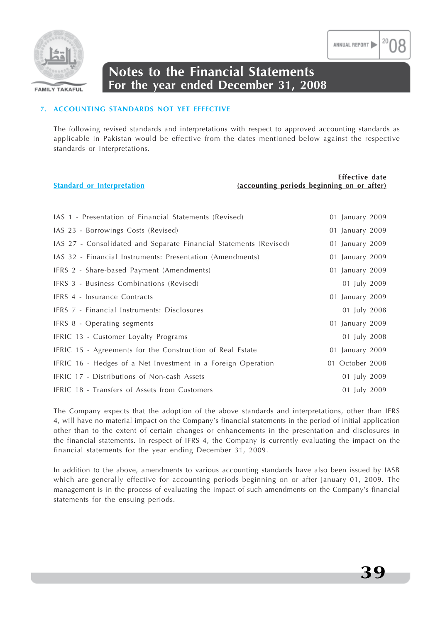

### **7. ACCOUNTING STANDARDS NOT YET EFFECTIVE**

The following revised standards and interpretations with respect to approved accounting standards as applicable in Pakistan would be effective from the dates mentioned below against the respective standards or interpretations.

|                                   | Effective date                             |
|-----------------------------------|--------------------------------------------|
| <b>Standard or Interpretation</b> | (accounting periods beginning on or after) |
|                                   |                                            |

| IAS 1 - Presentation of Financial Statements (Revised)            | 01 January 2009 |
|-------------------------------------------------------------------|-----------------|
| IAS 23 - Borrowings Costs (Revised)                               | 01 January 2009 |
| IAS 27 - Consolidated and Separate Financial Statements (Revised) | 01 January 2009 |
| IAS 32 - Financial Instruments: Presentation (Amendments)         | 01 January 2009 |
| IFRS 2 - Share-based Payment (Amendments)                         | 01 January 2009 |
| IFRS 3 - Business Combinations (Revised)                          | 01 July 2009    |
| IFRS 4 - Insurance Contracts                                      | 01 January 2009 |
| IFRS 7 - Financial Instruments: Disclosures                       | 01 July 2008    |
| IFRS 8 - Operating segments                                       | 01 January 2009 |
| IFRIC 13 - Customer Loyalty Programs                              | 01 July 2008    |
| IFRIC 15 - Agreements for the Construction of Real Estate         | 01 January 2009 |
| IFRIC 16 - Hedges of a Net Investment in a Foreign Operation      | 01 October 2008 |
| IFRIC 17 - Distributions of Non-cash Assets                       | 01 July 2009    |
| IFRIC 18 - Transfers of Assets from Customers                     | 01 July 2009    |

The Company expects that the adoption of the above standards and interpretations, other than IFRS 4, will have no material impact on the Company's financial statements in the period of initial application other than to the extent of certain changes or enhancements in the presentation and disclosures in the financial statements. In respect of IFRS 4, the Company is currently evaluating the impact on the financial statements for the year ending December 31, 2009.

In addition to the above, amendments to various accounting standards have also been issued by IASB which are generally effective for accounting periods beginning on or after January 01, 2009. The management is in the process of evaluating the impact of such amendments on the Company's financial statements for the ensuing periods.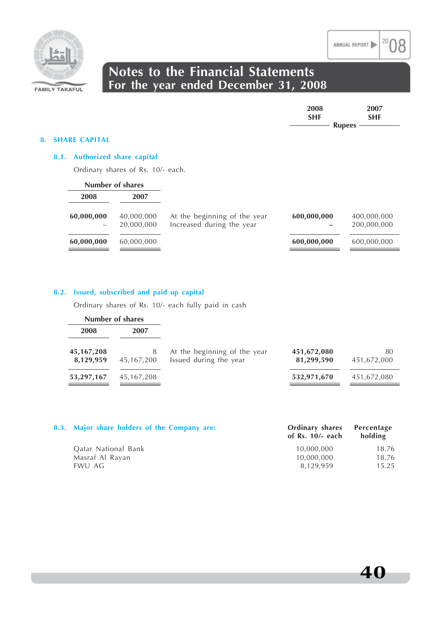

| 2008       | 2007       |
|------------|------------|
| <b>SHF</b> | <b>SHF</b> |
|            | $Runees$ — |
|            |            |

#### **8. SHARE CAPITAL**

### **8.1. Authorized share capital**

Ordinary shares of Rs. 10/- each.

|            | Number of shares |                              |             |             |
|------------|------------------|------------------------------|-------------|-------------|
| 2008       | 2007             |                              |             |             |
| 60,000,000 | 40,000,000       | At the beginning of the year | 600,000,000 | 400,000,000 |
|            | 20,000,000       | Increased during the year    |             | 200,000,000 |
| 60,000,000 | 60,000,000       |                              | 600,000,000 | 600,000,000 |

### **8.2. Issued, subscribed and paid up capital**

Ordinary shares of Rs. 10/- each fully paid in cash

|                           | Number of shares |                                                        |                           |                   |
|---------------------------|------------------|--------------------------------------------------------|---------------------------|-------------------|
| 2008                      | 2007             |                                                        |                           |                   |
| 45, 167, 208<br>8,129,959 | 8<br>45,167,200  | At the beginning of the year<br>Issued during the year | 451,672,080<br>81,299,590 | 80<br>451,672,000 |
| 53,297,167                | 45,167,208       |                                                        | 532,971,670               | 451,672,080       |

| 8.3. Major share holders of the Company are: | <b>Ordinary shares</b><br>of Rs. $10/-$ each | Percentage<br>holding |
|----------------------------------------------|----------------------------------------------|-----------------------|
| Oatar National Bank                          | 10,000,000                                   | 18.76                 |
| Masraf Al Rayan                              | 10,000,000                                   | 18.76                 |
| EWU AG                                       | 8.129.959                                    | 15.25                 |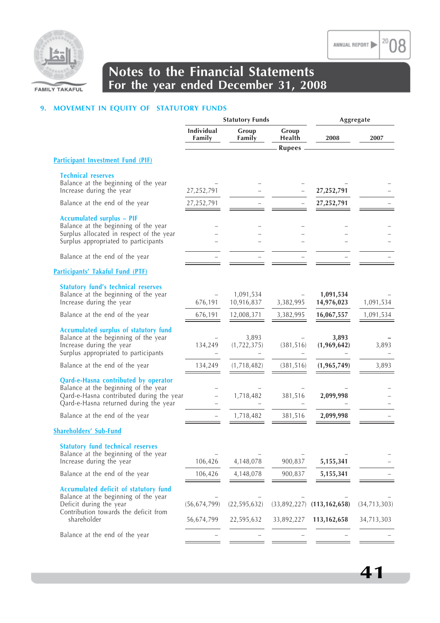

20

18

### **Notes to the Financial Statements For the year ended December 31, 2008**

### **9. MOVEMENT IN EQUITY OF STATUTORY FUNDS**

|                                                                                                                                                                   | <b>Statutory Funds</b>       |                              |                                  | Aggregate                      |                              |  |
|-------------------------------------------------------------------------------------------------------------------------------------------------------------------|------------------------------|------------------------------|----------------------------------|--------------------------------|------------------------------|--|
|                                                                                                                                                                   | Individual<br>Family         | Group<br>Family              | Group<br>Health<br><b>Rupees</b> | 2008                           | 2007                         |  |
| <b>Participant Investment Fund (PIF)</b>                                                                                                                          |                              |                              |                                  |                                |                              |  |
| <b>Technical reserves</b><br>Balance at the beginning of the year<br>Increase during the year                                                                     | 27,252,791                   |                              |                                  | 27,252,791                     |                              |  |
| Balance at the end of the year                                                                                                                                    | 27,252,791                   |                              |                                  | 27,252,791                     |                              |  |
| <b>Accumulated surplus - PIF</b><br>Balance at the beginning of the year<br>Surplus allocated in respect of the year<br>Surplus appropriated to participants      |                              |                              |                                  |                                |                              |  |
| Balance at the end of the year                                                                                                                                    |                              |                              |                                  |                                |                              |  |
| <b>Participants' Takaful Fund (PTF)</b>                                                                                                                           |                              |                              |                                  |                                |                              |  |
| <b>Statutory fund's technical reserves</b><br>Balance at the beginning of the year<br>Increase during the year                                                    | 676,191                      | 1,091,534<br>10,916,837      | 3,382,995                        | 1,091,534<br>14,976,023        | 1,091,534                    |  |
| Balance at the end of the year                                                                                                                                    | 676,191                      | 12,008,371                   | 3,382,995                        | 16,067,557                     | 1,091,534                    |  |
| <b>Accumulated surplus of statutory fund</b><br>Balance at the beginning of the year<br>Increase during the year<br>Surplus appropriated to participants          | 134,249                      | 3,893<br>(1, 722, 375)       | (381, 516)                       | 3,893<br>(1,969,642)           | 3,893                        |  |
| Balance at the end of the year                                                                                                                                    | 134,249                      | (1,718,482)                  | (381, 516)                       | (1, 965, 749)                  | 3,893                        |  |
| Qard-e-Hasna contributed by operator<br>Balance at the beginning of the year<br>Qard-e-Hasna contributed during the year<br>Qard-e-Hasna returned during the year |                              | 1,718,482                    | 381,516                          | 2,099,998                      |                              |  |
| Balance at the end of the year                                                                                                                                    | $\overline{\phantom{0}}$     | 1,718,482                    | 381,516                          | 2,099,998                      |                              |  |
| <b>Shareholders' Sub-Fund</b>                                                                                                                                     |                              |                              |                                  |                                |                              |  |
| <b>Statutory fund technical reserves</b><br>Balance at the beginning of the year<br>Increase during the year                                                      | 106,426                      | 4,148,078                    | 900,837                          | 5,155,341                      |                              |  |
| Balance at the end of the year                                                                                                                                    | 106,426                      | 4,148,078                    | 900,837                          | 5,155,341                      |                              |  |
| Accumulated deficit of statutory fund<br>Balance at the beginning of the year<br>Deficit during the year<br>Contribution towards the deficit from<br>shareholder  | (56, 674, 799)<br>56,674,799 | (22, 595, 632)<br>22,595,632 | (33,892,227)<br>33,892,227       | (113, 162, 658)<br>113,162,658 | (34, 713, 303)<br>34,713,303 |  |
| Balance at the end of the year                                                                                                                                    |                              |                              |                                  |                                |                              |  |
|                                                                                                                                                                   |                              |                              |                                  |                                |                              |  |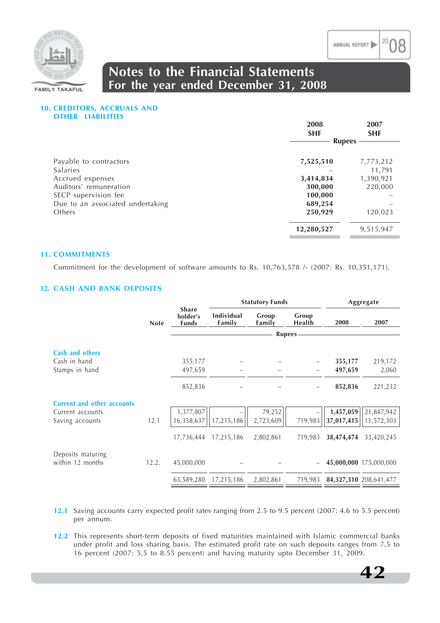



### **10. CREDITORS, ACCRUALS AND OTHER LIABILITIES**

|                                  | 2008<br><b>SHF</b> | 2007<br><b>SHF</b> |  |
|----------------------------------|--------------------|--------------------|--|
|                                  | <b>Rupees</b>      |                    |  |
| Payable to contractors           | 7,525,510          | 7,773,212          |  |
| <b>Salaries</b>                  |                    | 11,791             |  |
| Accrued expenses                 | 3,414,834          | 1,390,921          |  |
| Auditors' remuneration           | 300,000            | 220,000            |  |
| SECP supervision fee             | 100,000            |                    |  |
| Due to an associated undertaking | 689,254            |                    |  |
| Others                           | 250,929            | 120,023            |  |
|                                  | 12,280,527         | 9,515,947          |  |

### **11. COMMITMENTS**

Commitment for the development of software amounts to Rs. 10,763,578 /- (2007: Rs. 10,351,171).

### **12. CASH AND BANK DEPOSITS**

|                                       |             |                                          | <b>Statutory Funds</b>      |                 |                 |            | Aggregate                  |
|---------------------------------------|-------------|------------------------------------------|-----------------------------|-----------------|-----------------|------------|----------------------------|
|                                       | <b>Note</b> | <b>Share</b><br>holder's<br><b>Funds</b> | <b>Individual</b><br>Family | Group<br>Family | Group<br>Health | 2008       | 2007                       |
|                                       |             |                                          |                             |                 | <b>Rupees</b>   |            |                            |
| Cash and others                       |             |                                          |                             |                 |                 |            |                            |
| Cash in hand                          |             | 355,177                                  |                             |                 |                 | 355,177    | 219,172                    |
| Stamps in hand                        |             | 497,659                                  |                             |                 |                 | 497,659    | 2,060                      |
|                                       |             | 852,836                                  |                             |                 |                 | 852,836    | 221,232                    |
| <b>Current and other accounts</b>     |             |                                          |                             |                 |                 |            |                            |
| Current accounts                      |             | 1,377,807                                |                             | 79,252          |                 | 1,457,059  | 21,847,942                 |
| Saving accounts                       | 12.1        | 16,358,637                               | 17,215,186                  | 2,723,609       | 719,983         | 37,017,415 | 11,572,303                 |
|                                       |             | 17,736,444                               | 17,215,186                  | 2,802,861       | 719,983         | 38,474,474 | 33,420,245                 |
| Deposits maturing<br>within 12 months | 12.2.       | 45,000,000                               |                             |                 |                 |            | 45,000,000 175,000,000     |
|                                       |             | 63,589,280                               | 17,215,186                  | 2,802,861       | 719,983         |            | 84, 327, 310 208, 641, 477 |

- **12.1** Saving accounts carry expected profit rates ranging from 2.5 to 9.5 percent (2007: 4.6 to 5.5 percent) per annum.
- **12.2** This represents short-term deposits of fixed maturities maintained with Islamic commercial banks under profit and loss sharing basis. The estimated profit rate on such deposits ranges from 7.5 to 16 percent (2007: 5.5 to 8.55 percent) and having maturity upto December 31, 2009.

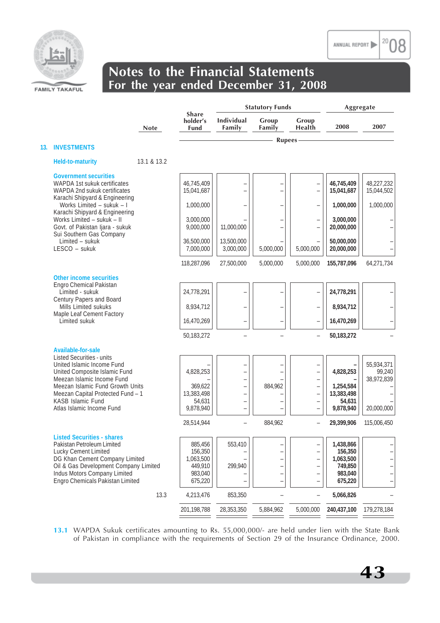

|     |                                                                                                                                                                                                                                        |             |                                                                  | <b>Statutory Funds</b>                                       |                 |                                                                                                                        | Aggregate                                                          |                                    |
|-----|----------------------------------------------------------------------------------------------------------------------------------------------------------------------------------------------------------------------------------------|-------------|------------------------------------------------------------------|--------------------------------------------------------------|-----------------|------------------------------------------------------------------------------------------------------------------------|--------------------------------------------------------------------|------------------------------------|
|     |                                                                                                                                                                                                                                        | <b>Note</b> | <b>Share</b><br>holder's<br><b>Fund</b>                          | <b>Individual</b><br>Family                                  | Group<br>Family | Group<br>Health                                                                                                        | 2008                                                               | 2007                               |
| 13. | <b>INVESTMENTS</b>                                                                                                                                                                                                                     |             |                                                                  |                                                              | <b>Rupees</b>   |                                                                                                                        |                                                                    |                                    |
|     |                                                                                                                                                                                                                                        |             |                                                                  |                                                              |                 |                                                                                                                        |                                                                    |                                    |
|     | Held-to-maturity                                                                                                                                                                                                                       | 13.1 & 13.2 |                                                                  |                                                              |                 |                                                                                                                        |                                                                    |                                    |
|     | <b>Government securities</b><br>WAPDA 1st sukuk certificates<br>WAPDA 2nd sukuk certificates<br>Karachi Shipyard & Engineering                                                                                                         |             | 46,745,409<br>15,041,687                                         | $\overline{a}$                                               |                 | $\overline{\phantom{0}}$<br>$\equiv$                                                                                   | 46,745,409<br>15,041,687                                           | 48,227,232<br>15,044,502           |
|     | Works Limited - sukuk - I<br>Karachi Shipyard & Engineering                                                                                                                                                                            |             | 1,000,000                                                        |                                                              |                 | $\qquad \qquad -$                                                                                                      | 1,000,000                                                          | 1,000,000                          |
|     | Works Limited - sukuk - II<br>Govt. of Pakistan Ijara - sukuk<br>Sui Southern Gas Company                                                                                                                                              |             | 3,000,000<br>9,000,000                                           | 11,000,000                                                   |                 | $\overline{\phantom{0}}$<br>$\overline{\phantom{0}}$                                                                   | 3,000,000<br>20,000,000                                            |                                    |
|     | Limited - sukuk<br>LESCO - sukuk                                                                                                                                                                                                       |             | 36,500,000<br>7,000,000                                          | 13,500,000<br>3,000,000                                      | 5,000,000       | 5,000,000                                                                                                              | 50,000,000<br>20,000,000                                           |                                    |
|     |                                                                                                                                                                                                                                        |             | 118,287,096                                                      | 27,500,000                                                   | 5,000,000       | 5,000,000                                                                                                              | 155,787,096                                                        | 64,271,734                         |
|     | <b>Other income securities</b><br>Engro Chemical Pakistan<br>Limited - sukuk                                                                                                                                                           |             | 24,778,291                                                       |                                                              |                 | $\overline{\phantom{0}}$                                                                                               | 24,778,291                                                         |                                    |
|     | Century Papers and Board                                                                                                                                                                                                               |             |                                                                  |                                                              |                 |                                                                                                                        |                                                                    |                                    |
|     | Mills Limited sukuks<br>Maple Leaf Cement Factory                                                                                                                                                                                      |             | 8,934,712                                                        |                                                              |                 | $\overline{\phantom{0}}$                                                                                               | 8,934,712                                                          |                                    |
|     | Limited sukuk                                                                                                                                                                                                                          |             | 16,470,269                                                       |                                                              |                 | $\overline{\phantom{0}}$                                                                                               | 16,470,269                                                         |                                    |
|     |                                                                                                                                                                                                                                        |             | 50,183,272                                                       |                                                              |                 | $\overline{\phantom{0}}$                                                                                               | 50,183,272                                                         |                                    |
|     | Available-for-sale                                                                                                                                                                                                                     |             |                                                                  |                                                              |                 |                                                                                                                        |                                                                    |                                    |
|     | <b>Listed Securities - units</b><br>United Islamic Income Fund<br>United Composite Islamic Fund<br>Meezan Islamic Income Fund<br>Meezan Islamic Fund Growth Units                                                                      |             | 4,828,253<br>369,622                                             | $\overline{\phantom{0}}$<br>$\overline{a}$<br>$\overline{a}$ | 884,962         | $\overline{\phantom{0}}$<br>$\overline{\phantom{0}}$<br>$\overline{\phantom{0}}$<br>$\overline{\phantom{0}}$           | 4,828,253<br>1,254,584                                             | 55,934,371<br>99,240<br>38,972,839 |
|     | Meezan Capital Protected Fund - 1                                                                                                                                                                                                      |             | 13,383,498                                                       | $\overline{\phantom{0}}$                                     |                 | $\qquad \qquad -$                                                                                                      | 13,383,498                                                         |                                    |
|     | KASB Islamic Fund<br>Atlas Islamic Income Fund                                                                                                                                                                                         |             | 54,631<br>9,878,940                                              | $\qquad \qquad -$<br>$\qquad \qquad -$                       |                 | $\overline{\phantom{0}}$<br>$\overline{\phantom{0}}$                                                                   | 54,631<br>9,878,940                                                | 20,000,000                         |
|     |                                                                                                                                                                                                                                        |             | 28,514,944                                                       |                                                              | 884.962         |                                                                                                                        |                                                                    | 115,006,450                        |
|     |                                                                                                                                                                                                                                        |             |                                                                  |                                                              |                 | $\qquad \qquad -$                                                                                                      | 29,399,906                                                         |                                    |
|     | <b>Listed Securities - shares</b><br>Pakistan Petroleum Limited<br>Lucky Cement Limited<br>DG Khan Cement Company Limited<br>Oil & Gas Development Company Limited<br>Indus Motors Company Limited<br>Engro Chemicals Pakistan Limited |             | 885,456<br>156,350<br>1,063,500<br>449,910<br>983,040<br>675,220 | 553,410<br>299,940                                           | ÷               | $\overline{\phantom{0}}$<br>$\overline{\phantom{0}}$<br>-<br>-<br>$\overline{\phantom{0}}$<br>$\overline{\phantom{0}}$ | 1,438,866<br>156,350<br>1,063,500<br>749,850<br>983,040<br>675,220 |                                    |
|     |                                                                                                                                                                                                                                        | 13.3        | 4,213,476                                                        | 853,350                                                      |                 | $\qquad \qquad -$                                                                                                      | 5,066,826                                                          |                                    |
|     |                                                                                                                                                                                                                                        |             | 201,198,788                                                      | 28,353,350                                                   | 5,884,962       | 5,000,000                                                                                                              | 240,437,100                                                        | 179,278,184                        |

**13.1** WAPDA Sukuk certificates amounting to Rs. 55,000,000/- are held under lien with the State Bank of Pakistan in compliance with the requirements of Section 29 of the Insurance Ordinance, 2000.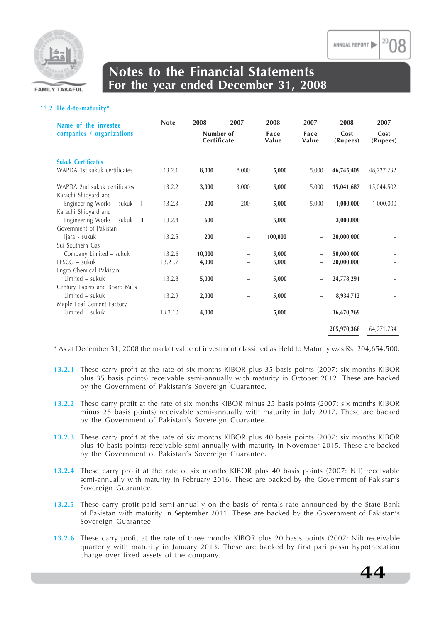

### **13.2 Held-to-maturity\***

| Name of the investee                                  | <b>Note</b> | 2008                     | 2007                     | 2008                           | 2007  | 2008             | 2007             |
|-------------------------------------------------------|-------------|--------------------------|--------------------------|--------------------------------|-------|------------------|------------------|
| companies / organizations                             |             | Number of<br>Certificate |                          | Face<br>Face<br>Value<br>Value |       | Cost<br>(Rupees) | Cost<br>(Rupees) |
| <b>Sukuk Certificates</b>                             |             |                          |                          |                                |       |                  |                  |
| WAPDA 1st sukuk certificates                          | 13.2.1      | 8,000                    | 8,000                    | 5,000                          | 5,000 | 46,745,409       | 48,227,232       |
| WAPDA 2nd sukuk certificates<br>Karachi Shipyard and  | 13.2.2      | 3,000                    | 3,000                    | 5,000                          | 5,000 | 15,041,687       | 15,044,502       |
| Engineering Works - sukuk - I<br>Karachi Shipyard and | 13.2.3      | 200                      | 200                      | 5,000                          | 5,000 | 1,000,000        | 1,000,000        |
| Engineering Works - sukuk - II                        | 13.2.4      | 600                      |                          | 5,000                          |       | 3,000,000        |                  |
| Government of Pakistan                                |             |                          |                          |                                |       |                  |                  |
| ljara - sukuk                                         | 13.2.5      | 200                      | $\overline{\phantom{0}}$ | 100,000                        |       | 20,000,000       |                  |
| Sui Southern Gas                                      |             |                          |                          |                                |       |                  |                  |
| Company Limited - sukuk                               | 13.2.6      | 10,000                   |                          | 5,000                          |       | 50,000,000       |                  |
| $LESCO - sukuk$                                       | 13.2.7      | 4,000                    |                          | 5,000                          |       | 20,000,000       |                  |
| Engro Chemical Pakistan                               |             |                          |                          |                                |       |                  |                  |
| Limited - sukuk                                       | 13.2.8      | 5,000                    |                          | 5,000                          |       | 24,778,291       |                  |
| Century Papers and Board Mills                        |             |                          |                          |                                |       |                  |                  |
| $Limited - sukuk$                                     | 13.2.9      | 2,000                    | $\overline{\phantom{0}}$ | 5,000                          |       | 8,934,712        |                  |
| Maple Leaf Cement Factory                             |             |                          |                          |                                |       |                  |                  |
| Limited - sukuk                                       | 13.2.10     | 4,000                    |                          | 5,000                          |       | 16,470,269       |                  |
|                                                       |             |                          |                          |                                |       | 205,970,368      | 64,271,734       |
|                                                       |             |                          |                          |                                |       |                  |                  |

\* As at December 31, 2008 the market value of investment classified as Held to Maturity was Rs. 204,654,500.

- **13.2.1** These carry profit at the rate of six months KIBOR plus 35 basis points (2007: six months KIBOR plus 35 basis points) receivable semi-annually with maturity in October 2012. These are backed by the Government of Pakistan's Sovereign Guarantee.
- **13.2.2** These carry profit at the rate of six months KIBOR minus 25 basis points (2007: six months KIBOR minus 25 basis points) receivable semi-annually with maturity in July 2017. These are backed by the Government of Pakistan's Sovereign Guarantee.
- **13.2.3** These carry profit at the rate of six months KIBOR plus 40 basis points (2007: six months KIBOR plus 40 basis points) receivable semi-annually with maturity in November 2015. These are backed by the Government of Pakistan's Sovereign Guarantee.
- **13.2.4** These carry profit at the rate of six months KIBOR plus 40 basis points (2007: Nil) receivable semi-annually with maturity in February 2016. These are backed by the Government of Pakistan's Sovereign Guarantee.
- **13.2.5** These carry profit paid semi-annually on the basis of rentals rate announced by the State Bank of Pakistan with maturity in September 2011. These are backed by the Government of Pakistan's Sovereign Guarantee
- **13.2.6** These carry profit at the rate of three months KIBOR plus 20 basis points (2007: Nil) receivable quarterly with maturity in January 2013. These are backed by first pari passu hypothecation charge over fixed assets of the company.

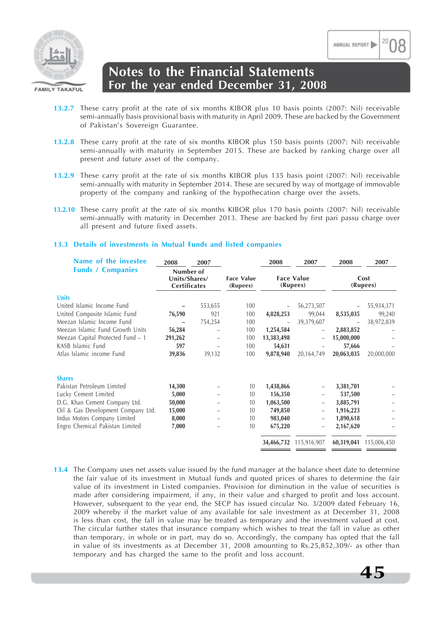

- **13.2.7** These carry profit at the rate of six months KIBOR plus 10 basis points (2007: Nil) receivable semi-annually basis provisional basis with maturity in April 2009. These are backed by the Government of Pakistan's Sovereign Guarantee.
- **13.2.8** These carry profit at the rate of six months KIBOR plus 150 basis points (2007: Nil) receivable semi-annually with maturity in September 2015. These are backed by ranking charge over all present and future asset of the company.
- **13.2.9** These carry profit at the rate of six months KIBOR plus 135 basis point (2007: Nil) receivable semi-annually with maturity in September 2014. These are secured by way of mortgage of immovable property of the company and ranking of the hypothecation charge over the assets.
- **13.2.10** These carry profit at the rate of six months KIBOR plus 170 basis points (2007: Nil) receivable semi-annually with maturity in December 2013. These are backed by first pari passu charge over all present and future fixed assets.

### **13.3 Details of investments in Mutual Funds and listed companies**

| Name of the investee               | 2008                                       | 2007    |                               | 2008                          | 2007                     | 2008             | 2007        |
|------------------------------------|--------------------------------------------|---------|-------------------------------|-------------------------------|--------------------------|------------------|-------------|
| <b>Funds / Companies</b>           | Number of<br>Units/Shares/<br>Certificates |         | <b>Face Value</b><br>(Rupees) | <b>Face Value</b><br>(Rupees) |                          | Cost<br>(Rupees) |             |
| <b>Units</b>                       |                                            |         |                               |                               |                          |                  |             |
| United Islamic Income Fund         |                                            | 553,655 | 100                           |                               | 56,273,507               |                  | 55,934,371  |
| United Composite Islamic Fund      | 76,590                                     | 921     | 100                           | 4,828,253                     | 99,044                   | 8,535,035        | 99,240      |
| Meezan Islamic Income Fund         |                                            | 754,254 | 100                           |                               | 39,379,607               |                  | 38,972,839  |
| Meezan Islamic Fund Growth Units   | 56,284                                     |         | 100                           | 1,254,584                     |                          | 2,883,852        |             |
| Meezan Capital Protected Fund – 1  | 291,262                                    |         | 100                           | 13,383,498                    | -                        | 15,000,000       |             |
| KASB Islamic Fund                  | 597                                        |         | 100                           | 54,631                        |                          | 57,666           |             |
| Atlas Islamic income Fund          | 39,836                                     | 39,132  | 100                           | 9,878,940                     | 20,164,749               | 20,063,035       | 20,000,000  |
| <b>Shares</b>                      |                                            |         |                               |                               |                          |                  |             |
| Pakistan Petroleum Limited         | 14,300                                     |         | 10                            | 1,438,866                     | -                        | 3,381,701        |             |
| Lucky Cement Limited               | 5,000                                      |         | 10                            | 156,350                       |                          | 537,500          |             |
| D.G. Khan Cement Company Ltd.      | 50,000                                     |         | 10 <sup>10</sup>              | 1,063,500                     | -                        | 3,885,791        |             |
| Oil & Gas Development Company Ltd. | 15,000                                     |         | 10                            | 749,850                       | $\qquad \qquad -$        | 1,916,223        |             |
| Indus Motors Company Limited       | 8,000                                      |         | 10                            | 983,040                       | $\qquad \qquad -$        | 1,890,618        |             |
| Engro Chemical Pakistan Limited    | 7,000                                      |         | 10                            | 675,220                       | $\overline{\phantom{0}}$ | 2,167,620        |             |
|                                    |                                            |         |                               | 34,466,732                    | 115,916,907              | 60,319,041       | 115,006,450 |

**13.4** The Company uses net assets value issued by the fund manager at the balance sheet date to determine the fair value of its investment in Mutual funds and quoted prices of shares to determine the fair value of its investment in Listed companies. Provision for diminution in the value of securities is made after considering impairment, if any, in their value and charged to profit and loss account. However, subsequent to the year end, the SECP has issued circular No. 3/2009 dated February 16, 2009 whereby if the market value of any available for sale investment as at December 31, 2008 is less than cost, the fall in value may be treated as temporary and the investment valued at cost. The circular further states that insurance company which wishes to treat the fall in value as other than temporary, in whole or in part, may do so. Accordingly, the company has opted that the fall in value of its investments as at December 31, 2008 amounting to Rs.25,852,309/- as other than temporary and has charged the same to the profit and loss account.

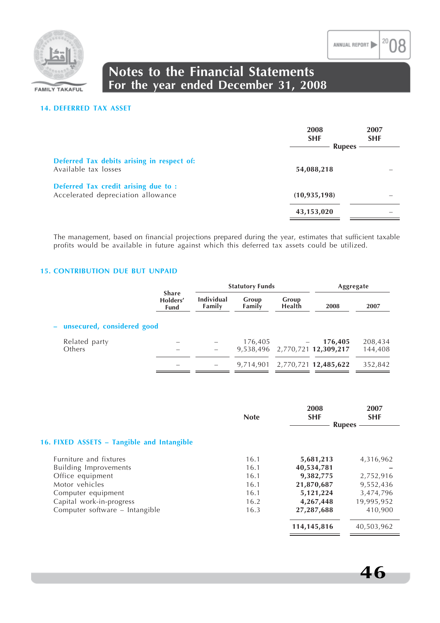

#### **14. DEFERRED TAX ASSET**

|                                                                            | 2008<br><b>SHF</b><br><b>Rupees</b> | 2007<br><b>SHF</b> |
|----------------------------------------------------------------------------|-------------------------------------|--------------------|
| Deferred Tax debits arising in respect of:<br>Available tax losses         | 54,088,218                          |                    |
| Deferred Tax credit arising due to :<br>Accelerated depreciation allowance | (10, 935, 198)                      |                    |
|                                                                            | 43,153,020                          |                    |

The management, based on financial projections prepared during the year, estimates that sufficient taxable profits would be available in future against which this deferred tax assets could be utilized.

### **15. CONTRIBUTION DUE BUT UNPAID**

|                              |                                         |                             | <b>Statutory Funds</b> |                        | Aggregate                      |         |
|------------------------------|-----------------------------------------|-----------------------------|------------------------|------------------------|--------------------------------|---------|
|                              | <b>Share</b><br>Holders'<br><b>Fund</b> | <b>Individual</b><br>Family | Group<br>Family        | Group<br><b>Health</b> | 2008                           | 2007    |
| - unsecured, considered good |                                         |                             |                        |                        |                                |         |
| Related party                |                                         |                             | 176,405                |                        | 176,405                        | 208,434 |
| Others                       |                                         |                             |                        |                        | 9,538,496 2,770,721 12,309,217 | 144,408 |
|                              |                                         |                             |                        |                        | 9,714,901 2,770,721 12,485,622 | 352,842 |

|                                            | <b>Note</b> | 2008<br><b>SHF</b> | 2007<br><b>SHF</b><br><b>Rupees</b> |
|--------------------------------------------|-------------|--------------------|-------------------------------------|
|                                            |             |                    |                                     |
| 16. FIXED ASSETS - Tangible and Intangible |             |                    |                                     |
| Furniture and fixtures                     | 16.1        | 5,681,213          | 4,316,962                           |
| <b>Building Improvements</b>               | 16.1        | 40,534,781         |                                     |
| Office equipment                           | 16.1        | 9,382,775          | 2,752,916                           |
| Motor vehicles                             | 16.1        | 21,870,687         | 9,552,436                           |
| Computer equipment                         | 16.1        | 5,121,224          | 3,474,796                           |
| Capital work-in-progress                   | 16.2        | 4,267,448          | 19,995,952                          |
| Computer software - Intangible             | 16.3        | 27,287,688         | 410,900                             |
|                                            |             | 114,145,816        | 40,503,962                          |
|                                            |             |                    |                                     |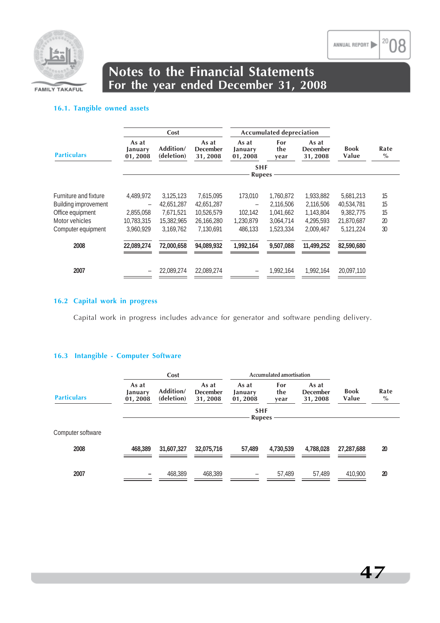

### **16.1. Tangible owned assets**

|                             |                             | Cost                    |                                     | <b>Accumulated depreciation</b> |                    |                                     |                      |              |  |
|-----------------------------|-----------------------------|-------------------------|-------------------------------------|---------------------------------|--------------------|-------------------------------------|----------------------|--------------|--|
| <b>Particulars</b>          | As at<br>January<br>01,2008 | Addition/<br>(deletion) | As at<br><b>December</b><br>31,2008 | As at<br>January<br>01,2008     | For<br>the<br>year | As at<br><b>December</b><br>31,2008 | <b>Book</b><br>Value | Rate<br>$\%$ |  |
|                             |                             |                         |                                     | <b>SHF</b>                      |                    |                                     |                      |              |  |
|                             |                             |                         |                                     | <b>Rupees</b>                   |                    |                                     |                      |              |  |
| Furniture and fixture       | 4,489,972                   | 3,125,123               | 7,615,095                           | 173,010                         | 1,760,872          | 1,933,882                           | 5,681,213            | 15           |  |
| <b>Building improvement</b> |                             | 42.651.287              | 42,651,287                          |                                 | 2,116,506          | 2,116,506                           | 40,534,781           | 15           |  |
| Office equipment            | 2,855,058                   | 7,671,521               | 10,526,579                          | 102.142                         | 1,041,662          | 1,143,804                           | 9,382,775            | 15           |  |
| Motor vehicles              | 10.783.315                  | 15,382,965              | 26.166.280                          | 1,230,879                       | 3,064,714          | 4.295.593                           | 21.870.687           | 20           |  |
| Computer equipment          | 3,960,929                   | 3,169,762               | 7,130,691                           | 486.133                         | 1,523,334          | 2,009,467                           | 5.121.224            | 30           |  |
| 2008                        | 22,089,274                  | 72.000.658              | 94.089.932                          | 1.992.164                       | 9.507.088          | 11.499.252                          | 82,590,680           |              |  |
| 2007                        |                             | 22.089.274              | 22.089.274                          |                                 | 1.992.164          | 1.992.164                           | 20.097.110           |              |  |

### **16.2 Capital work in progress**

Capital work in progress includes advance for generator and software pending delivery.

### **16.3 Intangible - Computer Software**

|                    |                             | Cost                    |                                     | Accumulated amortisation    |                    |                                     |                      |              |
|--------------------|-----------------------------|-------------------------|-------------------------------------|-----------------------------|--------------------|-------------------------------------|----------------------|--------------|
| <b>Particulars</b> | As at<br>January<br>01,2008 | Addition/<br>(deletion) | As at<br><b>December</b><br>31,2008 | As at<br>January<br>01,2008 | For<br>the<br>year | As at<br><b>December</b><br>31,2008 | <b>Book</b><br>Value | Rate<br>$\%$ |
|                    |                             |                         |                                     | <b>SHF</b><br><b>Rupees</b> |                    |                                     |                      |              |
| Computer software  |                             |                         |                                     |                             |                    |                                     |                      |              |
| 2008               | 468.389                     | 31,607,327              | 32,075,716                          | 57.489                      | 4,730,539          | 4.788.028                           | 27,287,688           | 20           |
| 2007               |                             | 468,389                 | 468,389                             |                             | 57,489             | 57,489                              | 410,900              | 20           |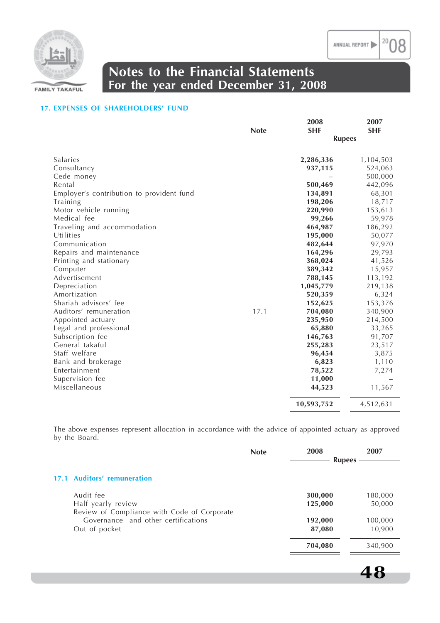

### **17. EXPENSES OF SHAREHOLDERS' FUND**

|                                           |             | 2008          | 2007       |
|-------------------------------------------|-------------|---------------|------------|
|                                           | <b>Note</b> | <b>SHF</b>    | <b>SHF</b> |
|                                           |             | <b>Rupees</b> |            |
|                                           |             |               |            |
| Salaries                                  |             | 2,286,336     | 1,104,503  |
| Consultancy                               |             | 937,115       | 524,063    |
| Cede money                                |             |               | 500,000    |
| Rental                                    |             | 500,469       | 442,096    |
| Employer's contribution to provident fund |             | 134,891       | 68,301     |
| Training                                  |             | 198,206       | 18,717     |
| Motor vehicle running                     |             | 220,990       | 153,613    |
| Medical fee                               |             | 99,266        | 59,978     |
| Traveling and accommodation               |             | 464,987       | 186,292    |
| Utilities                                 |             | 195,000       | 50,077     |
| Communication                             |             | 482,644       | 97,970     |
| Repairs and maintenance                   |             | 164,296       | 29,793     |
| Printing and stationary                   |             | 368,024       | 41,526     |
| Computer                                  |             | 389,342       | 15,957     |
| Advertisement                             |             | 788,145       | 113,192    |
| Depreciation                              |             | 1,045,779     | 219,138    |
| Amortization                              |             | 520,359       | 6,324      |
| Shariah advisors' fee                     |             | 152,625       | 153,376    |
| Auditors' remuneration                    | 17.1        | 704,080       | 340,900    |
| Appointed actuary                         |             | 235,950       | 214,500    |
| Legal and professional                    |             | 65,880        | 33,265     |
| Subscription fee                          |             | 146,763       | 91,707     |
| General takaful                           |             | 255,283       | 23,517     |
| Staff welfare                             |             | 96,454        | 3,875      |
| Bank and brokerage                        |             | 6,823         | 1,110      |
| Entertainment                             |             | 78,522        | 7,274      |
| Supervision fee                           |             | 11,000        |            |
| Miscellaneous                             |             | 44,523        | 11,567     |
|                                           |             | 10,593,752    | 4,512,631  |

The above expenses represent allocation in accordance with the advice of appointed actuary as approved by the Board.

|                                             | <b>Note</b> | 2008          | 2007    |
|---------------------------------------------|-------------|---------------|---------|
|                                             |             | <b>Rupees</b> |         |
| 17.1 Auditors' remuneration                 |             |               |         |
| Audit fee                                   |             | 300,000       | 180,000 |
| Half yearly review                          |             | 125,000       | 50,000  |
| Review of Compliance with Code of Corporate |             |               |         |
| Governance and other certifications         |             | 192,000       | 100,000 |
| Out of pocket                               |             | 87,080        | 10,900  |
|                                             |             | 704,080       | 340,900 |
|                                             |             |               |         |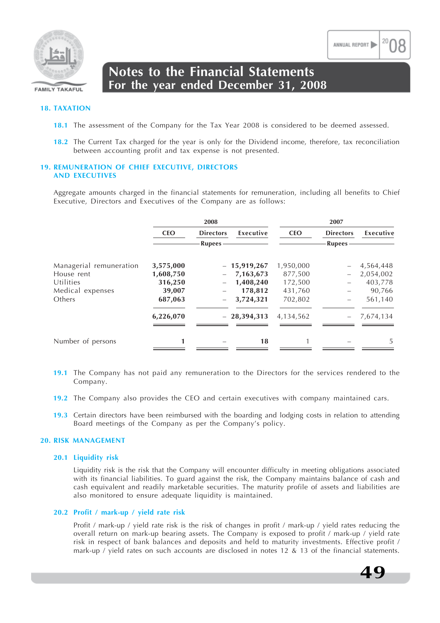

#### **18. TAXATION**

- **18.1** The assessment of the Company for the Tax Year 2008 is considered to be deemed assessed.
- **18.2** The Current Tax charged for the year is only for the Dividend income, therefore, tax reconciliation between accounting profit and tax expense is not presented.

### **19. REMUNERATION OF CHIEF EXECUTIVE, DIRECTORS AND EXECUTIVES**

Aggregate amounts charged in the financial statements for remuneration, including all benefits to Chief Executive, Directors and Executives of the Company are as follows:

|                         |            | 2008                     |               |            | 2007             |           |
|-------------------------|------------|--------------------------|---------------|------------|------------------|-----------|
|                         | <b>CEO</b> | <b>Directors</b>         | Executive     | <b>CEO</b> | <b>Directors</b> | Executive |
|                         |            | <b>Rupees</b>            |               |            | <b>Rupees</b>    |           |
| Managerial remuneration | 3,575,000  |                          | $-15,919,267$ | 1,950,000  |                  | 4,564,448 |
| House rent              | 1,608,750  |                          | 7,163,673     | 877,500    |                  | 2,054,002 |
| Utilities               | 316,250    |                          | 1,408,240     | 172,500    |                  | 403,778   |
| Medical expenses        | 39,007     |                          | 178,812       | 431,760    |                  | 90,766    |
| Others                  | 687,063    | $\overline{\phantom{0}}$ | 3,724,321     | 702,802    |                  | 561,140   |
|                         | 6,226,070  |                          | $-28,394,313$ | 4,134,562  |                  | 7,674,134 |
| Number of persons       | 1          |                          | 18            |            |                  | 5         |

- **19.1** The Company has not paid any remuneration to the Directors for the services rendered to the Company.
- **19.2** The Company also provides the CEO and certain executives with company maintained cars.
- **19.3** Certain directors have been reimbursed with the boarding and lodging costs in relation to attending Board meetings of the Company as per the Company's policy.

#### **20. RISK MANAGEMENT**

#### **20.1 Liquidity risk**

Liquidity risk is the risk that the Company will encounter difficulty in meeting obligations associated with its financial liabilities. To guard against the risk, the Company maintains balance of cash and cash equivalent and readily marketable securities. The maturity profile of assets and liabilities are also monitored to ensure adequate liquidity is maintained.

#### **20.2 Profit / mark-up / yield rate risk**

Profit / mark-up / yield rate risk is the risk of changes in profit / mark-up / yield rates reducing the overall return on mark-up bearing assets. The Company is exposed to profit / mark-up / yield rate risk in respect of bank balances and deposits and held to maturity investments. Effective profit / mark-up / yield rates on such accounts are disclosed in notes 12 & 13 of the financial statements.

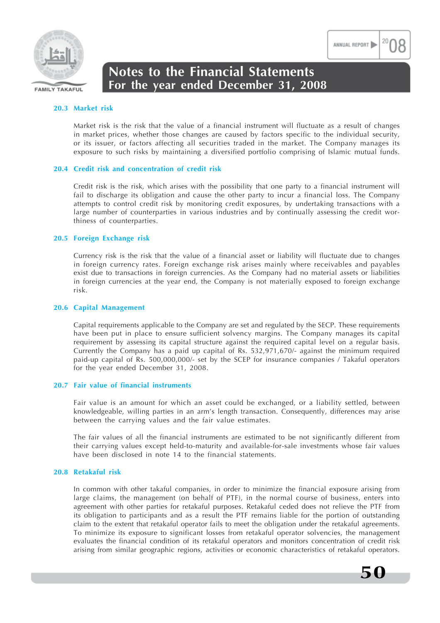

#### **20.3 Market risk**

Market risk is the risk that the value of a financial instrument will fluctuate as a result of changes in market prices, whether those changes are caused by factors specific to the individual security, or its issuer, or factors affecting all securities traded in the market. The Company manages its exposure to such risks by maintaining a diversified portfolio comprising of Islamic mutual funds.

#### **20.4 Credit risk and concentration of credit risk**

Credit risk is the risk, which arises with the possibility that one party to a financial instrument will fail to discharge its obligation and cause the other party to incur a financial loss. The Company attempts to control credit risk by monitoring credit exposures, by undertaking transactions with a large number of counterparties in various industries and by continually assessing the credit worthiness of counterparties.

#### **20.5 Foreign Exchange risk**

Currency risk is the risk that the value of a financial asset or liability will fluctuate due to changes in foreign currency rates. Foreign exchange risk arises mainly where receivables and payables exist due to transactions in foreign currencies. As the Company had no material assets or liabilities in foreign currencies at the year end, the Company is not materially exposed to foreign exchange risk.

#### **20.6 Capital Management**

Capital requirements applicable to the Company are set and regulated by the SECP. These requirements have been put in place to ensure sufficient solvency margins. The Company manages its capital requirement by assessing its capital structure against the required capital level on a regular basis. Currently the Company has a paid up capital of Rs. 532,971,670/- against the minimum required paid-up capital of Rs. 500,000,000/- set by the SCEP for insurance companies / Takaful operators for the year ended December 31, 2008.

### **20.7 Fair value of financial instruments**

Fair value is an amount for which an asset could be exchanged, or a liability settled, between knowledgeable, willing parties in an arm's length transaction. Consequently, differences may arise between the carrying values and the fair value estimates.

The fair values of all the financial instruments are estimated to be not significantly different from their carrying values except held-to-maturity and available-for-sale investments whose fair values have been disclosed in note 14 to the financial statements.

#### **20.8 Retakaful risk**

In common with other takaful companies, in order to minimize the financial exposure arising from large claims, the management (on behalf of PTF), in the normal course of business, enters into agreement with other parties for retakaful purposes. Retakaful ceded does not relieve the PTF from its obligation to participants and as a result the PTF remains liable for the portion of outstanding claim to the extent that retakaful operator fails to meet the obligation under the retakaful agreements. To minimize its exposure to significant losses from retakaful operator solvencies, the management evaluates the financial condition of its retakaful operators and monitors concentration of credit risk arising from similar geographic regions, activities or economic characteristics of retakaful operators.



ANNUAL REPORT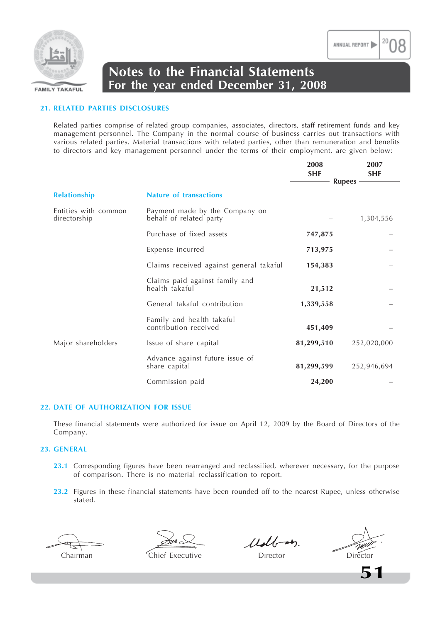

### **21. RELATED PARTIES DISCLOSURES**

Related parties comprise of related group companies, associates, directors, staff retirement funds and key management personnel. The Company in the normal course of business carries out transactions with various related parties. Material transactions with related parties, other than remuneration and benefits to directors and key management personnel under the terms of their employment, are given below:

|                                      |                                                           | 2008<br><b>SHF</b> | 2007<br><b>SHF</b><br><b>Rupees</b> |
|--------------------------------------|-----------------------------------------------------------|--------------------|-------------------------------------|
| <b>Relationship</b>                  | <b>Nature of transactions</b>                             |                    |                                     |
| Entities with common<br>directorship | Payment made by the Company on<br>behalf of related party |                    | 1,304,556                           |
|                                      | Purchase of fixed assets                                  | 747,875            |                                     |
|                                      | Expense incurred                                          | 713,975            |                                     |
|                                      | Claims received against general takaful                   | 154,383            |                                     |
|                                      | Claims paid against family and<br>health takaful          | 21,512             |                                     |
|                                      | General takaful contribution                              | 1,339,558          |                                     |
|                                      | Family and health takaful<br>contribution received        | 451,409            |                                     |
| Major shareholders                   | Issue of share capital                                    | 81,299,510         | 252,020,000                         |
|                                      | Advance against future issue of<br>share capital          | 81,299,599         | 252,946,694                         |
|                                      | Commission paid                                           | 24,200             |                                     |

#### **22. DATE OF AUTHORIZATION FOR ISSUE**

These financial statements were authorized for issue on April 12, 2009 by the Board of Directors of the Company.

### **23. GENERAL**

- **23.1** Corresponding figures have been rearranged and reclassified, wherever necessary, for the purpose of comparison. There is no material reclassification to report.
- **23.2** Figures in these financial statements have been rounded off to the nearest Rupee, unless otherwise stated.

Udbary

Chairman Chief Executive Director Director

ANNUAL REPORT

**51**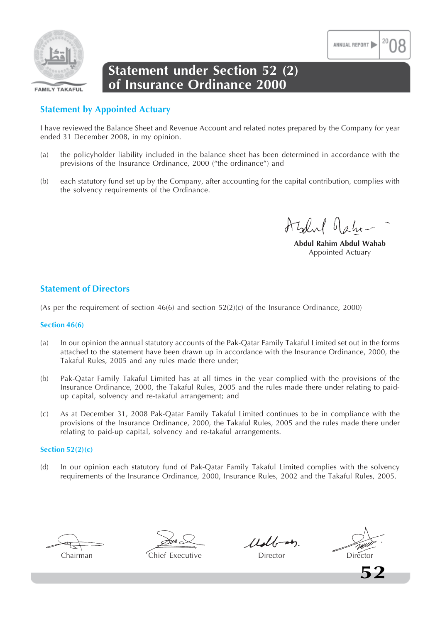

### **Statement under Section 52 (2) of Insurance Ordinance 2000**

### **Statement by Appointed Actuary**

I have reviewed the Balance Sheet and Revenue Account and related notes prepared by the Company for year ended 31 December 2008, in my opinion.

- (a) the policyholder liability included in the balance sheet has been determined in accordance with the previsions of the Insurance Ordinance, 2000 ("the ordinance") and
- (b) each statutory fund set up by the Company, after accounting for the capital contribution, complies with the solvency requirements of the Ordinance.

Azlul Jahr-

ANNUAL REPORT

**Abdul Rahim Abdul Wahab** Appointed Actuary

### **Statement of Directors**

(As per the requirement of section  $46(6)$  and section  $52(2)(c)$  of the Insurance Ordinance, 2000)

### **Section 46(6)**

- (a) In our opinion the annual statutory accounts of the Pak-Qatar Family Takaful Limited set out in the forms attached to the statement have been drawn up in accordance with the Insurance Ordinance, 2000, the Takaful Rules, 2005 and any rules made there under;
- (b) Pak-Qatar Family Takaful Limited has at all times in the year complied with the provisions of the Insurance Ordinance, 2000, the Takaful Rules, 2005 and the rules made there under relating to paidup capital, solvency and re-takaful arrangement; and
- (c) As at December 31, 2008 Pak-Qatar Family Takaful Limited continues to be in compliance with the provisions of the Insurance Ordinance, 2000, the Takaful Rules, 2005 and the rules made there under relating to paid-up capital, solvency and re-takaful arrangements.

### **Section 52(2)(c)**

(d) In our opinion each statutory fund of Pak-Qatar Family Takaful Limited complies with the solvency requirements of the Insurance Ordinance, 2000, Insurance Rules, 2002 and the Takaful Rules, 2005.

Chairman Chief Executive Director Director

 $11$ dbon

**52**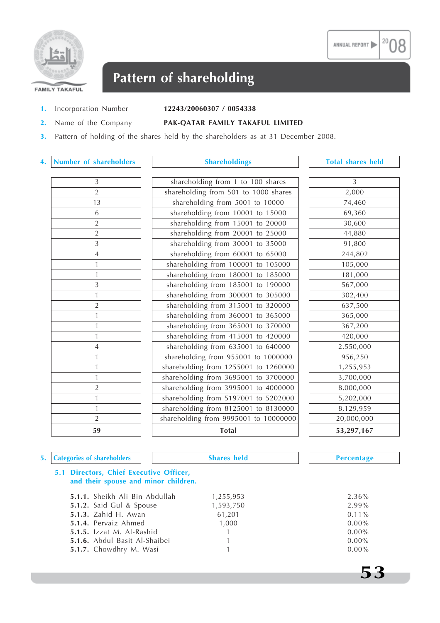



## **Pattern of shareholding**

### **1.** Incorporation Number **12243/20060307 / 0054338**

**2.** Name of the Company **PAK-QATAR FAMILY TAKAFUL LIMITED**

**3.** Pattern of holding of the shares held by the shareholders as at 31 December 2008.

### **4. Number of shareholders Shareholdings Total shares held**

| $\overline{3}$<br>$\overline{2}$<br>$\overline{13}$<br>$\overline{6}$<br>$\overline{2}$<br>$\frac{2}{\sqrt{2}}$<br>$\overline{3}$ |
|-----------------------------------------------------------------------------------------------------------------------------------|
|                                                                                                                                   |
|                                                                                                                                   |
|                                                                                                                                   |
|                                                                                                                                   |
|                                                                                                                                   |
|                                                                                                                                   |
|                                                                                                                                   |
| $\overline{4}$                                                                                                                    |
| $\mathbf{1}$                                                                                                                      |
| $\mathbf{1}$                                                                                                                      |
| 3                                                                                                                                 |
| $\mathbf{1}$                                                                                                                      |
| $\overline{2}$                                                                                                                    |
| $\mathbf{1}$                                                                                                                      |
| $\mathbf{1}$                                                                                                                      |
| $\mathbf{1}$                                                                                                                      |
| $\overline{4}$                                                                                                                    |
| $\mathbf{1}$                                                                                                                      |
| $\mathbf{1}$                                                                                                                      |
| $\mathbf{1}$                                                                                                                      |
| $\overline{a}$                                                                                                                    |
| $\mathbf{1}$                                                                                                                      |
| $\mathbf{1}$                                                                                                                      |
| $\overline{c}$                                                                                                                    |
| 59                                                                                                                                |

| 59             | <b>Total</b>                          | 53,297,167     |
|----------------|---------------------------------------|----------------|
| $\overline{2}$ | shareholding from 9995001 to 10000000 | 20,000,000     |
| $\overline{1}$ | shareholding from 8125001 to 8130000  | 8,129,959      |
| $\overline{1}$ | shareholding from 5197001 to 5202000  | 5,202,000      |
| $\overline{2}$ | shareholding from 3995001 to 4000000  | 8,000,000      |
| $\overline{1}$ | shareholding from 3695001 to 3700000  | 3,700,000      |
| $\overline{1}$ | shareholding from 1255001 to 1260000  | 1,255,953      |
| $\overline{1}$ | shareholding from 955001 to 1000000   | 956,250        |
| $\overline{4}$ | shareholding from 635001 to 640000    | 2,550,000      |
| $\overline{1}$ | shareholding from 415001 to 420000    | 420,000        |
| $\overline{1}$ | shareholding from 365001 to 370000    | 367,200        |
| $\overline{1}$ | shareholding from 360001 to 365000    | 365,000        |
| $\sqrt{2}$     | shareholding from 315001 to 320000    | 637,500        |
| $\overline{1}$ | shareholding from 300001 to 305000    | 302,400        |
| $\mathfrak{Z}$ | shareholding from 185001 to 190000    | 567,000        |
| $\overline{1}$ | shareholding from 180001 to 185000    | 181,000        |
| $\overline{1}$ | shareholding from 100001 to 105000    | 105,000        |
| $\overline{4}$ | shareholding from 60001 to 65000      | 244,802        |
| $\mathfrak{Z}$ | shareholding from 30001 to 35000      | 91,800         |
| $\sqrt{2}$     | shareholding from 20001 to 25000      | 44,880         |
| $\sqrt{2}$     | shareholding from 15001 to 20000      | 30,600         |
| 6              | shareholding from 10001 to 15000      | 69,360         |
| 13             | shareholding from 5001 to 10000       | 74,460         |
| $\overline{2}$ | shareholding from 501 to 1000 shares  | 2,000          |
| $\overline{3}$ | shareholding from 1 to 100 shares     | $\overline{3}$ |

| 3          |
|------------|
| 2,000      |
| 74,460     |
| 69,360     |
| 30,600     |
| 44,880     |
| 91,800     |
| 244,802    |
| 105,000    |
| 181,000    |
| 567,000    |
| 302,400    |
| 637,500    |
| 365,000    |
| 367,200    |
| 420,000    |
| 2,550,000  |
| 956,250    |
| 1,255,953  |
| 3,700,000  |
| 8,000,000  |
| 5,202,000  |
| 8,129,959  |
| 20,000,000 |
| 53,297,167 |
|            |

### **5. Categories of shareholders Shares held Percentage**

**53**

### **5.1 Directors, Chief Executive Officer, and their spouse and minor children.**

| 1,255,953 | 2.36%    |
|-----------|----------|
| 1,593,750 | 2.99%    |
| 61,201    | $0.11\%$ |
| 1,000     | $0.00\%$ |
| 1         | $0.00\%$ |
|           | $0.00\%$ |
|           | $0.00\%$ |
|           |          |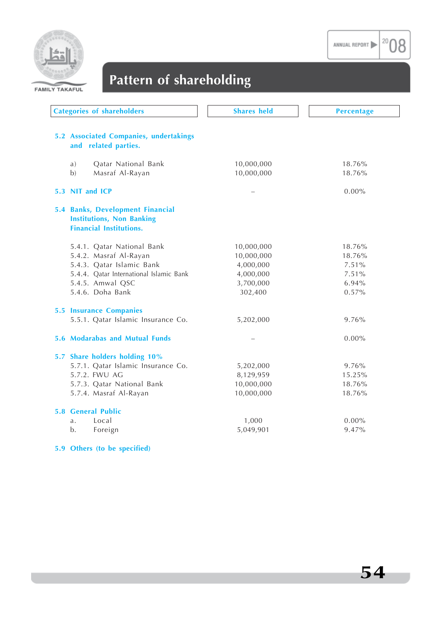

20 08



## **Pattern of shareholding**

| <b>Categories of shareholders</b>                                                                      | <b>Shares held</b> | <b>Percentage</b> |
|--------------------------------------------------------------------------------------------------------|--------------------|-------------------|
| 5.2 Associated Companies, undertakings<br>and related parties.                                         |                    |                   |
| Qatar National Bank<br>a)                                                                              | 10,000,000         | 18.76%            |
| b)<br>Masraf Al-Rayan                                                                                  | 10,000,000         | 18.76%            |
| 5.3 NIT and ICP                                                                                        |                    | $0.00\%$          |
| 5.4 Banks, Development Financial<br><b>Institutions, Non Banking</b><br><b>Financial Institutions.</b> |                    |                   |
| 5.4.1. Qatar National Bank                                                                             | 10,000,000         | 18.76%            |
| 5.4.2. Masraf Al-Rayan                                                                                 | 10,000,000         | 18.76%            |
| 5.4.3. Qatar Islamic Bank                                                                              | 4,000,000          | 7.51%             |
| 5.4.4. Qatar International Islamic Bank                                                                | 4,000,000          | 7.51%             |
| 5.4.5. Amwal QSC                                                                                       | 3,700,000          | 6.94%             |
| 5.4.6. Doha Bank                                                                                       | 302,400            | 0.57%             |
| <b>5.5 Insurance Companies</b>                                                                         |                    |                   |
| 5.5.1. Qatar Islamic Insurance Co.                                                                     | 5,202,000          | 9.76%             |
| 5.6 Modarabas and Mutual Funds                                                                         |                    | $0.00\%$          |
| 5.7 Share holders holding 10%                                                                          |                    |                   |
| 5.7.1. Qatar Islamic Insurance Co.                                                                     | 5,202,000          | 9.76%             |
| 5.7.2. FWU AG                                                                                          | 8,129,959          | 15.25%            |
| 5.7.3. Qatar National Bank                                                                             | 10,000,000         | 18.76%            |
| 5.7.4. Masraf Al-Rayan                                                                                 | 10,000,000         | 18.76%            |
| <b>5.8 General Public</b>                                                                              |                    |                   |
| Local<br>a.                                                                                            | 1,000              | $0.00\%$          |
| Foreign<br>b.                                                                                          | 5,049,901          | 9.47%             |
|                                                                                                        |                    |                   |

**5.9 Others (to be specified)**